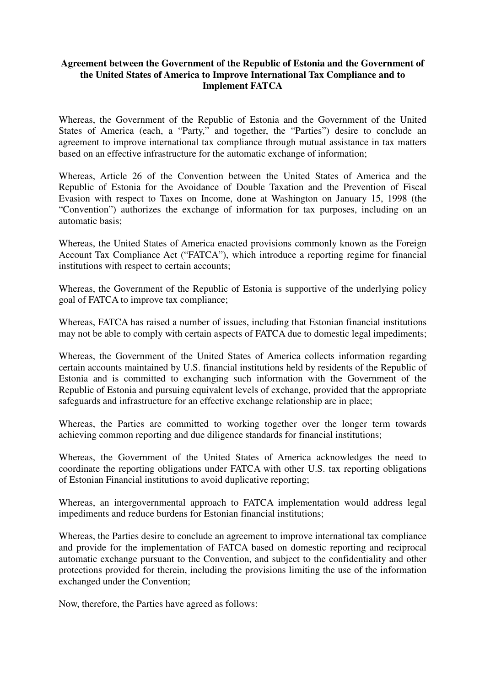## **Agreement between the Government of the Republic of Estonia and the Government of the United States of America to Improve International Tax Compliance and to Implement FATCA**

Whereas, the Government of the Republic of Estonia and the Government of the United States of America (each, a "Party," and together, the "Parties") desire to conclude an agreement to improve international tax compliance through mutual assistance in tax matters based on an effective infrastructure for the automatic exchange of information;

Whereas, Article 26 of the Convention between the United States of America and the Republic of Estonia for the Avoidance of Double Taxation and the Prevention of Fiscal Evasion with respect to Taxes on Income, done at Washington on January 15, 1998 (the "Convention") authorizes the exchange of information for tax purposes, including on an automatic basis;

Whereas, the United States of America enacted provisions commonly known as the Foreign Account Tax Compliance Act ("FATCA"), which introduce a reporting regime for financial institutions with respect to certain accounts;

Whereas, the Government of the Republic of Estonia is supportive of the underlying policy goal of FATCA to improve tax compliance;

Whereas, FATCA has raised a number of issues, including that Estonian financial institutions may not be able to comply with certain aspects of FATCA due to domestic legal impediments;

Whereas, the Government of the United States of America collects information regarding certain accounts maintained by U.S. financial institutions held by residents of the Republic of Estonia and is committed to exchanging such information with the Government of the Republic of Estonia and pursuing equivalent levels of exchange, provided that the appropriate safeguards and infrastructure for an effective exchange relationship are in place;

Whereas, the Parties are committed to working together over the longer term towards achieving common reporting and due diligence standards for financial institutions;

Whereas, the Government of the United States of America acknowledges the need to coordinate the reporting obligations under FATCA with other U.S. tax reporting obligations of Estonian Financial institutions to avoid duplicative reporting;

Whereas, an intergovernmental approach to FATCA implementation would address legal impediments and reduce burdens for Estonian financial institutions;

Whereas, the Parties desire to conclude an agreement to improve international tax compliance and provide for the implementation of FATCA based on domestic reporting and reciprocal automatic exchange pursuant to the Convention, and subject to the confidentiality and other protections provided for therein, including the provisions limiting the use of the information exchanged under the Convention;

Now, therefore, the Parties have agreed as follows: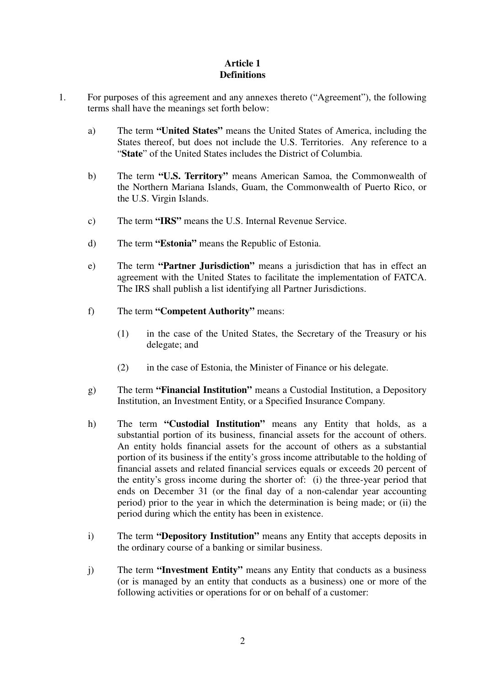# **Article 1 Definitions**

- 1. For purposes of this agreement and any annexes thereto ("Agreement"), the following terms shall have the meanings set forth below:
	- a) The term **"United States"** means the United States of America, including the States thereof, but does not include the U.S. Territories. Any reference to a "**State**" of the United States includes the District of Columbia.
	- b) The term **"U.S. Territory"** means American Samoa, the Commonwealth of the Northern Mariana Islands, Guam, the Commonwealth of Puerto Rico, or the U.S. Virgin Islands.
	- c) The term **"IRS"** means the U.S. Internal Revenue Service.
	- d) The term **"Estonia"** means the Republic of Estonia.
	- e) The term **"Partner Jurisdiction"** means a jurisdiction that has in effect an agreement with the United States to facilitate the implementation of FATCA. The IRS shall publish a list identifying all Partner Jurisdictions.
	- f) The term **"Competent Authority"** means:
		- (1) in the case of the United States, the Secretary of the Treasury or his delegate; and
		- (2) in the case of Estonia, the Minister of Finance or his delegate.
	- g) The term **"Financial Institution"** means a Custodial Institution, a Depository Institution, an Investment Entity, or a Specified Insurance Company.
	- h) The term **"Custodial Institution"** means any Entity that holds, as a substantial portion of its business, financial assets for the account of others. An entity holds financial assets for the account of others as a substantial portion of its business if the entity's gross income attributable to the holding of financial assets and related financial services equals or exceeds 20 percent of the entity's gross income during the shorter of: (i) the three-year period that ends on December 31 (or the final day of a non-calendar year accounting period) prior to the year in which the determination is being made; or (ii) the period during which the entity has been in existence.
	- i) The term **"Depository Institution"** means any Entity that accepts deposits in the ordinary course of a banking or similar business.
	- j) The term **"Investment Entity"** means any Entity that conducts as a business (or is managed by an entity that conducts as a business) one or more of the following activities or operations for or on behalf of a customer: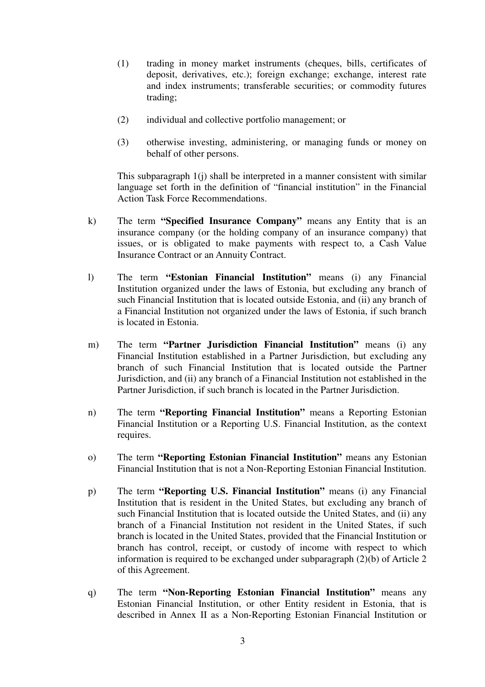- (1) trading in money market instruments (cheques, bills, certificates of deposit, derivatives, etc.); foreign exchange; exchange, interest rate and index instruments; transferable securities; or commodity futures trading;
- (2) individual and collective portfolio management; or
- (3) otherwise investing, administering, or managing funds or money on behalf of other persons.

This subparagraph 1(j) shall be interpreted in a manner consistent with similar language set forth in the definition of "financial institution" in the Financial Action Task Force Recommendations.

- k) The term **"Specified Insurance Company"** means any Entity that is an insurance company (or the holding company of an insurance company) that issues, or is obligated to make payments with respect to, a Cash Value Insurance Contract or an Annuity Contract.
- l) The term **"Estonian Financial Institution"** means (i) any Financial Institution organized under the laws of Estonia, but excluding any branch of such Financial Institution that is located outside Estonia, and (ii) any branch of a Financial Institution not organized under the laws of Estonia, if such branch is located in Estonia.
- m) The term **"Partner Jurisdiction Financial Institution"** means (i) any Financial Institution established in a Partner Jurisdiction, but excluding any branch of such Financial Institution that is located outside the Partner Jurisdiction, and (ii) any branch of a Financial Institution not established in the Partner Jurisdiction, if such branch is located in the Partner Jurisdiction.
- n) The term **"Reporting Financial Institution"** means a Reporting Estonian Financial Institution or a Reporting U.S. Financial Institution, as the context requires.
- o) The term **"Reporting Estonian Financial Institution"** means any Estonian Financial Institution that is not a Non-Reporting Estonian Financial Institution.
- p) The term **"Reporting U.S. Financial Institution"** means (i) any Financial Institution that is resident in the United States, but excluding any branch of such Financial Institution that is located outside the United States, and (ii) any branch of a Financial Institution not resident in the United States, if such branch is located in the United States, provided that the Financial Institution or branch has control, receipt, or custody of income with respect to which information is required to be exchanged under subparagraph (2)(b) of Article 2 of this Agreement.
- q) The term **"Non-Reporting Estonian Financial Institution"** means any Estonian Financial Institution, or other Entity resident in Estonia, that is described in Annex II as a Non-Reporting Estonian Financial Institution or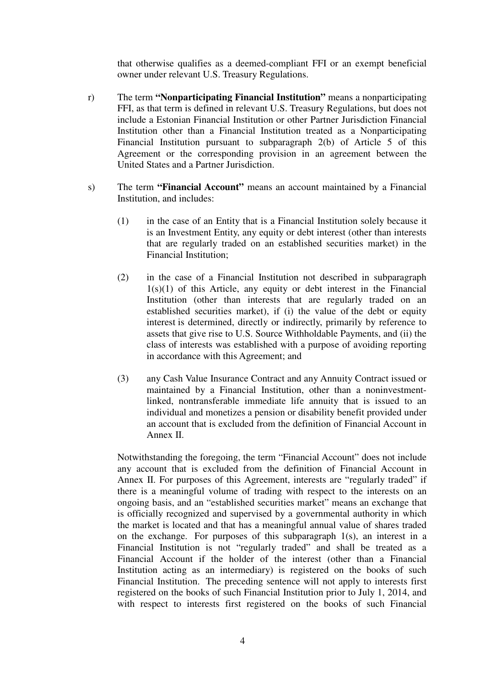that otherwise qualifies as a deemed-compliant FFI or an exempt beneficial owner under relevant U.S. Treasury Regulations.

- r) The term **"Nonparticipating Financial Institution"** means a nonparticipating FFI, as that term is defined in relevant U.S. Treasury Regulations, but does not include a Estonian Financial Institution or other Partner Jurisdiction Financial Institution other than a Financial Institution treated as a Nonparticipating Financial Institution pursuant to subparagraph 2(b) of Article 5 of this Agreement or the corresponding provision in an agreement between the United States and a Partner Jurisdiction.
- s) The term **"Financial Account"** means an account maintained by a Financial Institution, and includes:
	- (1) in the case of an Entity that is a Financial Institution solely because it is an Investment Entity, any equity or debt interest (other than interests that are regularly traded on an established securities market) in the Financial Institution;
	- (2) in the case of a Financial Institution not described in subparagraph  $1(s)(1)$  of this Article, any equity or debt interest in the Financial Institution (other than interests that are regularly traded on an established securities market), if (i) the value of the debt or equity interest is determined, directly or indirectly, primarily by reference to assets that give rise to U.S. Source Withholdable Payments, and (ii) the class of interests was established with a purpose of avoiding reporting in accordance with this Agreement; and
	- (3) any Cash Value Insurance Contract and any Annuity Contract issued or maintained by a Financial Institution, other than a noninvestmentlinked, nontransferable immediate life annuity that is issued to an individual and monetizes a pension or disability benefit provided under an account that is excluded from the definition of Financial Account in Annex II.

Notwithstanding the foregoing, the term "Financial Account" does not include any account that is excluded from the definition of Financial Account in Annex II. For purposes of this Agreement, interests are "regularly traded" if there is a meaningful volume of trading with respect to the interests on an ongoing basis, and an "established securities market" means an exchange that is officially recognized and supervised by a governmental authority in which the market is located and that has a meaningful annual value of shares traded on the exchange. For purposes of this subparagraph 1(s), an interest in a Financial Institution is not "regularly traded" and shall be treated as a Financial Account if the holder of the interest (other than a Financial Institution acting as an intermediary) is registered on the books of such Financial Institution. The preceding sentence will not apply to interests first registered on the books of such Financial Institution prior to July 1, 2014, and with respect to interests first registered on the books of such Financial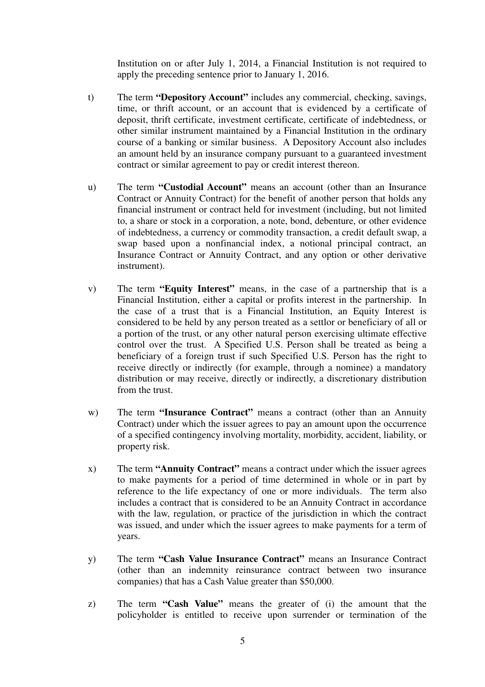Institution on or after July 1, 2014, a Financial Institution is not required to apply the preceding sentence prior to January 1, 2016.

- t) The term **"Depository Account"** includes any commercial, checking, savings, time, or thrift account, or an account that is evidenced by a certificate of deposit, thrift certificate, investment certificate, certificate of indebtedness, or other similar instrument maintained by a Financial Institution in the ordinary course of a banking or similar business. A Depository Account also includes an amount held by an insurance company pursuant to a guaranteed investment contract or similar agreement to pay or credit interest thereon.
- u) The term **"Custodial Account"** means an account (other than an Insurance Contract or Annuity Contract) for the benefit of another person that holds any financial instrument or contract held for investment (including, but not limited to, a share or stock in a corporation, a note, bond, debenture, or other evidence of indebtedness, a currency or commodity transaction, a credit default swap, a swap based upon a nonfinancial index, a notional principal contract, an Insurance Contract or Annuity Contract, and any option or other derivative instrument).
- v) The term **"Equity Interest"** means, in the case of a partnership that is a Financial Institution, either a capital or profits interest in the partnership. In the case of a trust that is a Financial Institution, an Equity Interest is considered to be held by any person treated as a settlor or beneficiary of all or a portion of the trust, or any other natural person exercising ultimate effective control over the trust. A Specified U.S. Person shall be treated as being a beneficiary of a foreign trust if such Specified U.S. Person has the right to receive directly or indirectly (for example, through a nominee) a mandatory distribution or may receive, directly or indirectly, a discretionary distribution from the trust.
- w) The term **"Insurance Contract"** means a contract (other than an Annuity Contract) under which the issuer agrees to pay an amount upon the occurrence of a specified contingency involving mortality, morbidity, accident, liability, or property risk.
- x) The term **"Annuity Contract"** means a contract under which the issuer agrees to make payments for a period of time determined in whole or in part by reference to the life expectancy of one or more individuals. The term also includes a contract that is considered to be an Annuity Contract in accordance with the law, regulation, or practice of the jurisdiction in which the contract was issued, and under which the issuer agrees to make payments for a term of years.
- y) The term **"Cash Value Insurance Contract"** means an Insurance Contract (other than an indemnity reinsurance contract between two insurance companies) that has a Cash Value greater than \$50,000.
- z) The term **"Cash Value"** means the greater of (i) the amount that the policyholder is entitled to receive upon surrender or termination of the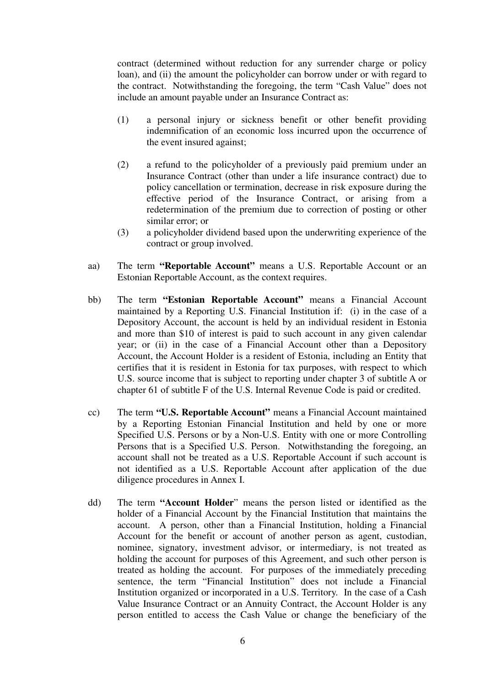contract (determined without reduction for any surrender charge or policy loan), and (ii) the amount the policyholder can borrow under or with regard to the contract. Notwithstanding the foregoing, the term "Cash Value" does not include an amount payable under an Insurance Contract as:

- (1) a personal injury or sickness benefit or other benefit providing indemnification of an economic loss incurred upon the occurrence of the event insured against;
- (2) a refund to the policyholder of a previously paid premium under an Insurance Contract (other than under a life insurance contract) due to policy cancellation or termination, decrease in risk exposure during the effective period of the Insurance Contract, or arising from a redetermination of the premium due to correction of posting or other similar error; or
- (3) a policyholder dividend based upon the underwriting experience of the contract or group involved.
- aa) The term **"Reportable Account"** means a U.S. Reportable Account or an Estonian Reportable Account, as the context requires.
- bb) The term **"Estonian Reportable Account"** means a Financial Account maintained by a Reporting U.S. Financial Institution if: (i) in the case of a Depository Account, the account is held by an individual resident in Estonia and more than \$10 of interest is paid to such account in any given calendar year; or (ii) in the case of a Financial Account other than a Depository Account, the Account Holder is a resident of Estonia, including an Entity that certifies that it is resident in Estonia for tax purposes, with respect to which U.S. source income that is subject to reporting under chapter 3 of subtitle A or chapter 61 of subtitle F of the U.S. Internal Revenue Code is paid or credited.
- cc) The term **"U.S. Reportable Account"** means a Financial Account maintained by a Reporting Estonian Financial Institution and held by one or more Specified U.S. Persons or by a Non-U.S. Entity with one or more Controlling Persons that is a Specified U.S. Person. Notwithstanding the foregoing, an account shall not be treated as a U.S. Reportable Account if such account is not identified as a U.S. Reportable Account after application of the due diligence procedures in Annex I.
- dd) The term **"Account Holder**" means the person listed or identified as the holder of a Financial Account by the Financial Institution that maintains the account. A person, other than a Financial Institution, holding a Financial Account for the benefit or account of another person as agent, custodian, nominee, signatory, investment advisor, or intermediary, is not treated as holding the account for purposes of this Agreement, and such other person is treated as holding the account. For purposes of the immediately preceding sentence, the term "Financial Institution" does not include a Financial Institution organized or incorporated in a U.S. Territory. In the case of a Cash Value Insurance Contract or an Annuity Contract, the Account Holder is any person entitled to access the Cash Value or change the beneficiary of the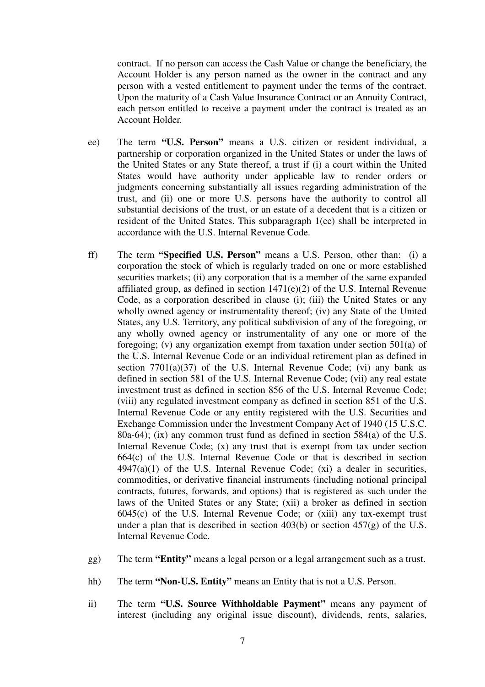contract. If no person can access the Cash Value or change the beneficiary, the Account Holder is any person named as the owner in the contract and any person with a vested entitlement to payment under the terms of the contract. Upon the maturity of a Cash Value Insurance Contract or an Annuity Contract, each person entitled to receive a payment under the contract is treated as an Account Holder.

- ee) The term **"U.S. Person"** means a U.S. citizen or resident individual, a partnership or corporation organized in the United States or under the laws of the United States or any State thereof, a trust if (i) a court within the United States would have authority under applicable law to render orders or judgments concerning substantially all issues regarding administration of the trust, and (ii) one or more U.S. persons have the authority to control all substantial decisions of the trust, or an estate of a decedent that is a citizen or resident of the United States. This subparagraph 1(ee) shall be interpreted in accordance with the U.S. Internal Revenue Code.
- ff) The term **"Specified U.S. Person"** means a U.S. Person, other than: (i) a corporation the stock of which is regularly traded on one or more established securities markets; (ii) any corporation that is a member of the same expanded affiliated group, as defined in section  $1471(e)(2)$  of the U.S. Internal Revenue Code, as a corporation described in clause (i); (iii) the United States or any wholly owned agency or instrumentality thereof; (iv) any State of the United States, any U.S. Territory, any political subdivision of any of the foregoing, or any wholly owned agency or instrumentality of any one or more of the foregoing; (v) any organization exempt from taxation under section 501(a) of the U.S. Internal Revenue Code or an individual retirement plan as defined in section  $7701(a)(37)$  of the U.S. Internal Revenue Code; (vi) any bank as defined in section 581 of the U.S. Internal Revenue Code; (vii) any real estate investment trust as defined in section 856 of the U.S. Internal Revenue Code; (viii) any regulated investment company as defined in section 851 of the U.S. Internal Revenue Code or any entity registered with the U.S. Securities and Exchange Commission under the Investment Company Act of 1940 (15 U.S.C. 80a-64); (ix) any common trust fund as defined in section 584(a) of the U.S. Internal Revenue Code; (x) any trust that is exempt from tax under section 664(c) of the U.S. Internal Revenue Code or that is described in section  $4947(a)(1)$  of the U.S. Internal Revenue Code; (xi) a dealer in securities, commodities, or derivative financial instruments (including notional principal contracts, futures, forwards, and options) that is registered as such under the laws of the United States or any State; (xii) a broker as defined in section 6045(c) of the U.S. Internal Revenue Code; or (xiii) any tax-exempt trust under a plan that is described in section  $403(b)$  or section  $457(g)$  of the U.S. Internal Revenue Code.
- gg) The term **"Entity"** means a legal person or a legal arrangement such as a trust.
- hh) The term **"Non-U.S. Entity"** means an Entity that is not a U.S. Person.
- ii) The term **"U.S. Source Withholdable Payment"** means any payment of interest (including any original issue discount), dividends, rents, salaries,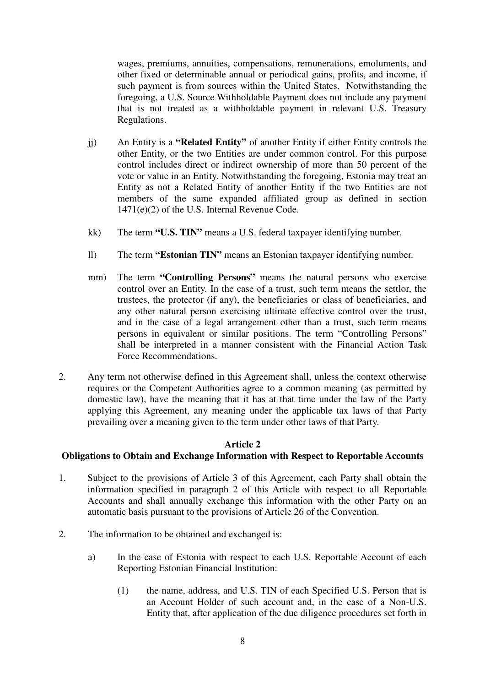wages, premiums, annuities, compensations, remunerations, emoluments, and other fixed or determinable annual or periodical gains, profits, and income, if such payment is from sources within the United States. Notwithstanding the foregoing, a U.S. Source Withholdable Payment does not include any payment that is not treated as a withholdable payment in relevant U.S. Treasury Regulations.

- jj) An Entity is a **"Related Entity"** of another Entity if either Entity controls the other Entity, or the two Entities are under common control. For this purpose control includes direct or indirect ownership of more than 50 percent of the vote or value in an Entity. Notwithstanding the foregoing, Estonia may treat an Entity as not a Related Entity of another Entity if the two Entities are not members of the same expanded affiliated group as defined in section 1471(e)(2) of the U.S. Internal Revenue Code.
- kk) The term **"U.S. TIN"** means a U.S. federal taxpayer identifying number.
- ll) The term **"Estonian TIN"** means an Estonian taxpayer identifying number.
- mm) The term **"Controlling Persons"** means the natural persons who exercise control over an Entity. In the case of a trust, such term means the settlor, the trustees, the protector (if any), the beneficiaries or class of beneficiaries, and any other natural person exercising ultimate effective control over the trust, and in the case of a legal arrangement other than a trust, such term means persons in equivalent or similar positions. The term "Controlling Persons" shall be interpreted in a manner consistent with the Financial Action Task Force Recommendations.
- 2. Any term not otherwise defined in this Agreement shall, unless the context otherwise requires or the Competent Authorities agree to a common meaning (as permitted by domestic law), have the meaning that it has at that time under the law of the Party applying this Agreement, any meaning under the applicable tax laws of that Party prevailing over a meaning given to the term under other laws of that Party.

#### **Article 2**

# **Obligations to Obtain and Exchange Information with Respect to Reportable Accounts**

- 1. Subject to the provisions of Article 3 of this Agreement, each Party shall obtain the information specified in paragraph 2 of this Article with respect to all Reportable Accounts and shall annually exchange this information with the other Party on an automatic basis pursuant to the provisions of Article 26 of the Convention.
- 2. The information to be obtained and exchanged is:
	- a) In the case of Estonia with respect to each U.S. Reportable Account of each Reporting Estonian Financial Institution:
		- (1) the name, address, and U.S. TIN of each Specified U.S. Person that is an Account Holder of such account and, in the case of a Non-U.S. Entity that, after application of the due diligence procedures set forth in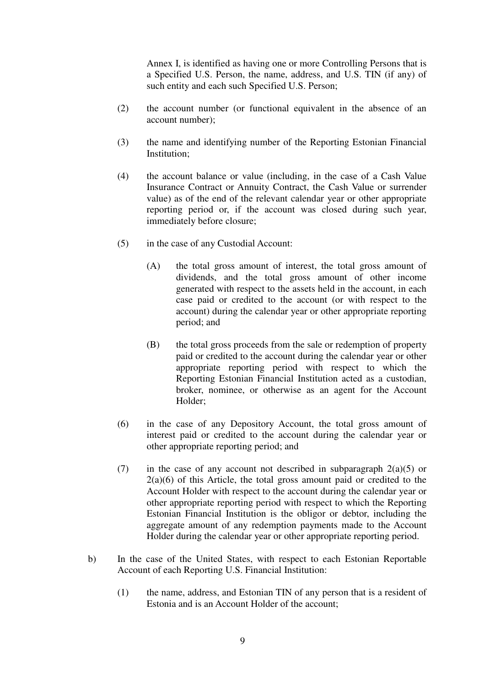Annex I, is identified as having one or more Controlling Persons that is a Specified U.S. Person, the name, address, and U.S. TIN (if any) of such entity and each such Specified U.S. Person;

- (2) the account number (or functional equivalent in the absence of an account number);
- (3) the name and identifying number of the Reporting Estonian Financial Institution;
- (4) the account balance or value (including, in the case of a Cash Value Insurance Contract or Annuity Contract, the Cash Value or surrender value) as of the end of the relevant calendar year or other appropriate reporting period or, if the account was closed during such year, immediately before closure;
- (5) in the case of any Custodial Account:
	- (A) the total gross amount of interest, the total gross amount of dividends, and the total gross amount of other income generated with respect to the assets held in the account, in each case paid or credited to the account (or with respect to the account) during the calendar year or other appropriate reporting period; and
	- (B) the total gross proceeds from the sale or redemption of property paid or credited to the account during the calendar year or other appropriate reporting period with respect to which the Reporting Estonian Financial Institution acted as a custodian, broker, nominee, or otherwise as an agent for the Account Holder;
- (6) in the case of any Depository Account, the total gross amount of interest paid or credited to the account during the calendar year or other appropriate reporting period; and
- (7) in the case of any account not described in subparagraph  $2(a)(5)$  or  $2(a)(6)$  of this Article, the total gross amount paid or credited to the Account Holder with respect to the account during the calendar year or other appropriate reporting period with respect to which the Reporting Estonian Financial Institution is the obligor or debtor, including the aggregate amount of any redemption payments made to the Account Holder during the calendar year or other appropriate reporting period.
- b) In the case of the United States, with respect to each Estonian Reportable Account of each Reporting U.S. Financial Institution:
	- (1) the name, address, and Estonian TIN of any person that is a resident of Estonia and is an Account Holder of the account;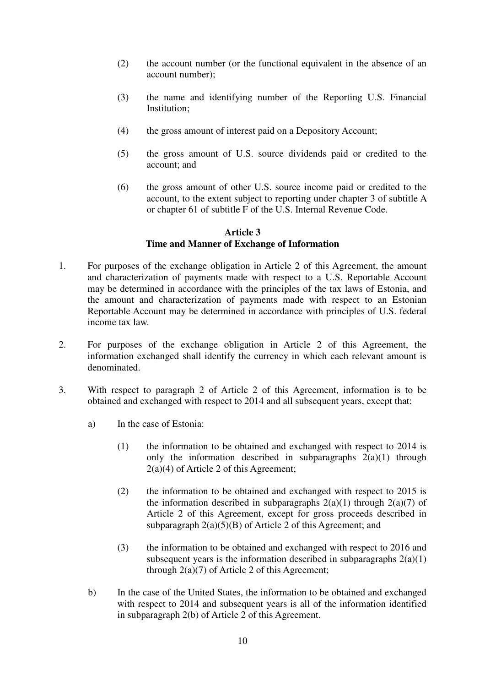- (2) the account number (or the functional equivalent in the absence of an account number);
- (3) the name and identifying number of the Reporting U.S. Financial Institution;
- (4) the gross amount of interest paid on a Depository Account;
- (5) the gross amount of U.S. source dividends paid or credited to the account; and
- (6) the gross amount of other U.S. source income paid or credited to the account, to the extent subject to reporting under chapter 3 of subtitle A or chapter 61 of subtitle F of the U.S. Internal Revenue Code.

#### **Article 3**

## **Time and Manner of Exchange of Information**

- 1. For purposes of the exchange obligation in Article 2 of this Agreement, the amount and characterization of payments made with respect to a U.S. Reportable Account may be determined in accordance with the principles of the tax laws of Estonia, and the amount and characterization of payments made with respect to an Estonian Reportable Account may be determined in accordance with principles of U.S. federal income tax law.
- 2. For purposes of the exchange obligation in Article 2 of this Agreement, the information exchanged shall identify the currency in which each relevant amount is denominated.
- 3. With respect to paragraph 2 of Article 2 of this Agreement, information is to be obtained and exchanged with respect to 2014 and all subsequent years, except that:
	- a) In the case of Estonia:
		- (1) the information to be obtained and exchanged with respect to 2014 is only the information described in subparagraphs  $2(a)(1)$  through 2(a)(4) of Article 2 of this Agreement;
		- (2) the information to be obtained and exchanged with respect to 2015 is the information described in subparagraphs  $2(a)(1)$  through  $2(a)(7)$  of Article 2 of this Agreement, except for gross proceeds described in subparagraph  $2(a)(5)(B)$  of Article 2 of this Agreement; and
		- (3) the information to be obtained and exchanged with respect to 2016 and subsequent years is the information described in subparagraphs  $2(a)(1)$ through  $2(a)(7)$  of Article 2 of this Agreement;
	- b) In the case of the United States, the information to be obtained and exchanged with respect to 2014 and subsequent years is all of the information identified in subparagraph 2(b) of Article 2 of this Agreement.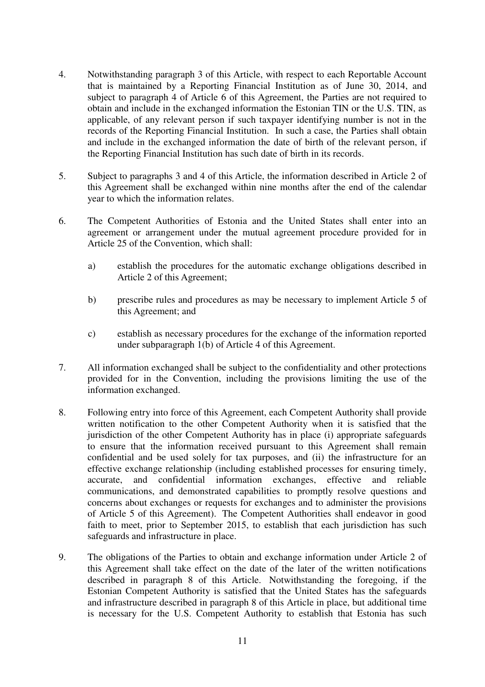- 4. Notwithstanding paragraph 3 of this Article, with respect to each Reportable Account that is maintained by a Reporting Financial Institution as of June 30, 2014, and subject to paragraph 4 of Article 6 of this Agreement, the Parties are not required to obtain and include in the exchanged information the Estonian TIN or the U.S. TIN, as applicable, of any relevant person if such taxpayer identifying number is not in the records of the Reporting Financial Institution. In such a case, the Parties shall obtain and include in the exchanged information the date of birth of the relevant person, if the Reporting Financial Institution has such date of birth in its records.
- 5. Subject to paragraphs 3 and 4 of this Article, the information described in Article 2 of this Agreement shall be exchanged within nine months after the end of the calendar year to which the information relates.
- 6. The Competent Authorities of Estonia and the United States shall enter into an agreement or arrangement under the mutual agreement procedure provided for in Article 25 of the Convention, which shall:
	- a) establish the procedures for the automatic exchange obligations described in Article 2 of this Agreement;
	- b) prescribe rules and procedures as may be necessary to implement Article 5 of this Agreement; and
	- c) establish as necessary procedures for the exchange of the information reported under subparagraph 1(b) of Article 4 of this Agreement.
- 7. All information exchanged shall be subject to the confidentiality and other protections provided for in the Convention, including the provisions limiting the use of the information exchanged.
- 8. Following entry into force of this Agreement, each Competent Authority shall provide written notification to the other Competent Authority when it is satisfied that the jurisdiction of the other Competent Authority has in place (i) appropriate safeguards to ensure that the information received pursuant to this Agreement shall remain confidential and be used solely for tax purposes, and (ii) the infrastructure for an effective exchange relationship (including established processes for ensuring timely, accurate, and confidential information exchanges, effective and reliable communications, and demonstrated capabilities to promptly resolve questions and concerns about exchanges or requests for exchanges and to administer the provisions of Article 5 of this Agreement). The Competent Authorities shall endeavor in good faith to meet, prior to September 2015, to establish that each jurisdiction has such safeguards and infrastructure in place.
- 9. The obligations of the Parties to obtain and exchange information under Article 2 of this Agreement shall take effect on the date of the later of the written notifications described in paragraph 8 of this Article. Notwithstanding the foregoing, if the Estonian Competent Authority is satisfied that the United States has the safeguards and infrastructure described in paragraph 8 of this Article in place, but additional time is necessary for the U.S. Competent Authority to establish that Estonia has such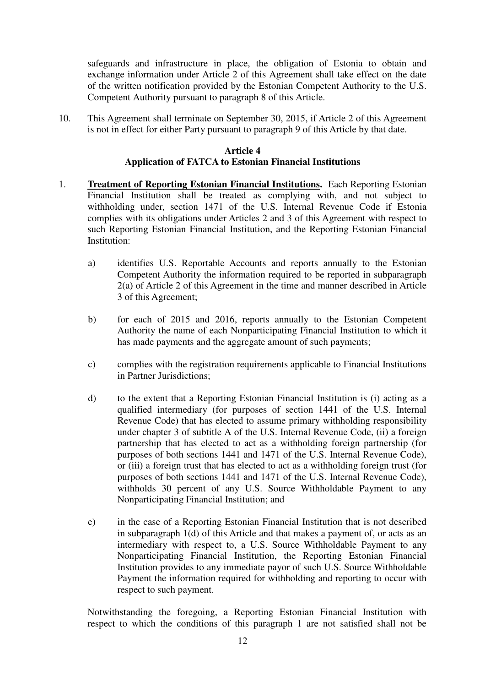safeguards and infrastructure in place, the obligation of Estonia to obtain and exchange information under Article 2 of this Agreement shall take effect on the date of the written notification provided by the Estonian Competent Authority to the U.S. Competent Authority pursuant to paragraph 8 of this Article.

10. This Agreement shall terminate on September 30, 2015, if Article 2 of this Agreement is not in effect for either Party pursuant to paragraph 9 of this Article by that date.

### **Article 4 Application of FATCA to Estonian Financial Institutions**

- 1. **Treatment of Reporting Estonian Financial Institutions.** Each Reporting Estonian Financial Institution shall be treated as complying with, and not subject to withholding under, section 1471 of the U.S. Internal Revenue Code if Estonia complies with its obligations under Articles 2 and 3 of this Agreement with respect to such Reporting Estonian Financial Institution, and the Reporting Estonian Financial Institution:
	- a) identifies U.S. Reportable Accounts and reports annually to the Estonian Competent Authority the information required to be reported in subparagraph 2(a) of Article 2 of this Agreement in the time and manner described in Article 3 of this Agreement;
	- b) for each of 2015 and 2016, reports annually to the Estonian Competent Authority the name of each Nonparticipating Financial Institution to which it has made payments and the aggregate amount of such payments;
	- c) complies with the registration requirements applicable to Financial Institutions in Partner Jurisdictions;
	- d) to the extent that a Reporting Estonian Financial Institution is (i) acting as a qualified intermediary (for purposes of section 1441 of the U.S. Internal Revenue Code) that has elected to assume primary withholding responsibility under chapter 3 of subtitle A of the U.S. Internal Revenue Code, (ii) a foreign partnership that has elected to act as a withholding foreign partnership (for purposes of both sections 1441 and 1471 of the U.S. Internal Revenue Code), or (iii) a foreign trust that has elected to act as a withholding foreign trust (for purposes of both sections 1441 and 1471 of the U.S. Internal Revenue Code), withholds 30 percent of any U.S. Source Withholdable Payment to any Nonparticipating Financial Institution; and
	- e) in the case of a Reporting Estonian Financial Institution that is not described in subparagraph 1(d) of this Article and that makes a payment of, or acts as an intermediary with respect to, a U.S. Source Withholdable Payment to any Nonparticipating Financial Institution, the Reporting Estonian Financial Institution provides to any immediate payor of such U.S. Source Withholdable Payment the information required for withholding and reporting to occur with respect to such payment.

Notwithstanding the foregoing, a Reporting Estonian Financial Institution with respect to which the conditions of this paragraph 1 are not satisfied shall not be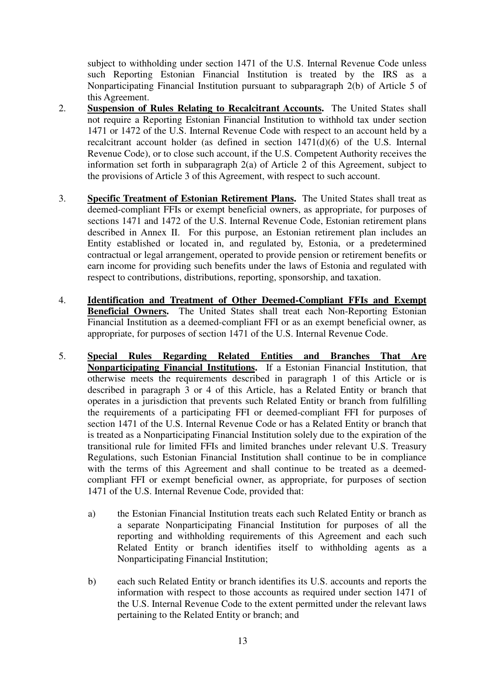subject to withholding under section 1471 of the U.S. Internal Revenue Code unless such Reporting Estonian Financial Institution is treated by the IRS as a Nonparticipating Financial Institution pursuant to subparagraph 2(b) of Article 5 of this Agreement.

- 2. **Suspension of Rules Relating to Recalcitrant Accounts.** The United States shall not require a Reporting Estonian Financial Institution to withhold tax under section 1471 or 1472 of the U.S. Internal Revenue Code with respect to an account held by a recalcitrant account holder (as defined in section  $1471(d)(6)$  of the U.S. Internal Revenue Code), or to close such account, if the U.S. Competent Authority receives the information set forth in subparagraph 2(a) of Article 2 of this Agreement, subject to the provisions of Article 3 of this Agreement, with respect to such account.
- 3. **Specific Treatment of Estonian Retirement Plans.** The United States shall treat as deemed-compliant FFIs or exempt beneficial owners, as appropriate, for purposes of sections 1471 and 1472 of the U.S. Internal Revenue Code, Estonian retirement plans described in Annex II. For this purpose, an Estonian retirement plan includes an Entity established or located in, and regulated by, Estonia, or a predetermined contractual or legal arrangement, operated to provide pension or retirement benefits or earn income for providing such benefits under the laws of Estonia and regulated with respect to contributions, distributions, reporting, sponsorship, and taxation.
- 4. **Identification and Treatment of Other Deemed-Compliant FFIs and Exempt Beneficial Owners.** The United States shall treat each Non-Reporting Estonian Financial Institution as a deemed-compliant FFI or as an exempt beneficial owner, as appropriate, for purposes of section 1471 of the U.S. Internal Revenue Code.
- 5. **Special Rules Regarding Related Entities and Branches That Are Nonparticipating Financial Institutions.** If a Estonian Financial Institution, that otherwise meets the requirements described in paragraph 1 of this Article or is described in paragraph 3 or 4 of this Article, has a Related Entity or branch that operates in a jurisdiction that prevents such Related Entity or branch from fulfilling the requirements of a participating FFI or deemed-compliant FFI for purposes of section 1471 of the U.S. Internal Revenue Code or has a Related Entity or branch that is treated as a Nonparticipating Financial Institution solely due to the expiration of the transitional rule for limited FFIs and limited branches under relevant U.S. Treasury Regulations, such Estonian Financial Institution shall continue to be in compliance with the terms of this Agreement and shall continue to be treated as a deemedcompliant FFI or exempt beneficial owner, as appropriate, for purposes of section 1471 of the U.S. Internal Revenue Code, provided that:
	- a) the Estonian Financial Institution treats each such Related Entity or branch as a separate Nonparticipating Financial Institution for purposes of all the reporting and withholding requirements of this Agreement and each such Related Entity or branch identifies itself to withholding agents as a Nonparticipating Financial Institution;
	- b) each such Related Entity or branch identifies its U.S. accounts and reports the information with respect to those accounts as required under section 1471 of the U.S. Internal Revenue Code to the extent permitted under the relevant laws pertaining to the Related Entity or branch; and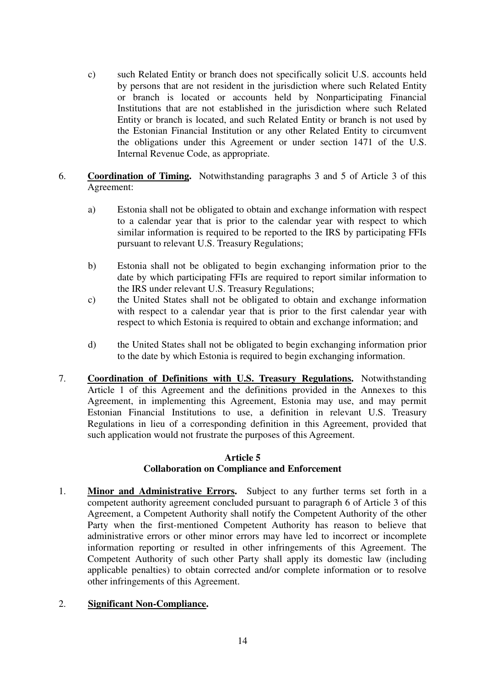- c) such Related Entity or branch does not specifically solicit U.S. accounts held by persons that are not resident in the jurisdiction where such Related Entity or branch is located or accounts held by Nonparticipating Financial Institutions that are not established in the jurisdiction where such Related Entity or branch is located, and such Related Entity or branch is not used by the Estonian Financial Institution or any other Related Entity to circumvent the obligations under this Agreement or under section 1471 of the U.S. Internal Revenue Code, as appropriate.
- 6. **Coordination of Timing.** Notwithstanding paragraphs 3 and 5 of Article 3 of this Agreement:
	- a) Estonia shall not be obligated to obtain and exchange information with respect to a calendar year that is prior to the calendar year with respect to which similar information is required to be reported to the IRS by participating FFIs pursuant to relevant U.S. Treasury Regulations;
	- b) Estonia shall not be obligated to begin exchanging information prior to the date by which participating FFIs are required to report similar information to the IRS under relevant U.S. Treasury Regulations;
	- c) the United States shall not be obligated to obtain and exchange information with respect to a calendar year that is prior to the first calendar year with respect to which Estonia is required to obtain and exchange information; and
	- d) the United States shall not be obligated to begin exchanging information prior to the date by which Estonia is required to begin exchanging information.
- 7. **Coordination of Definitions with U.S. Treasury Regulations.** Notwithstanding Article 1 of this Agreement and the definitions provided in the Annexes to this Agreement, in implementing this Agreement, Estonia may use, and may permit Estonian Financial Institutions to use, a definition in relevant U.S. Treasury Regulations in lieu of a corresponding definition in this Agreement, provided that such application would not frustrate the purposes of this Agreement.

#### **Article 5 Collaboration on Compliance and Enforcement**

1. **Minor and Administrative Errors.** Subject to any further terms set forth in a competent authority agreement concluded pursuant to paragraph 6 of Article 3 of this Agreement, a Competent Authority shall notify the Competent Authority of the other Party when the first-mentioned Competent Authority has reason to believe that administrative errors or other minor errors may have led to incorrect or incomplete information reporting or resulted in other infringements of this Agreement. The Competent Authority of such other Party shall apply its domestic law (including applicable penalties) to obtain corrected and/or complete information or to resolve other infringements of this Agreement.

#### 2. **Significant Non-Compliance.**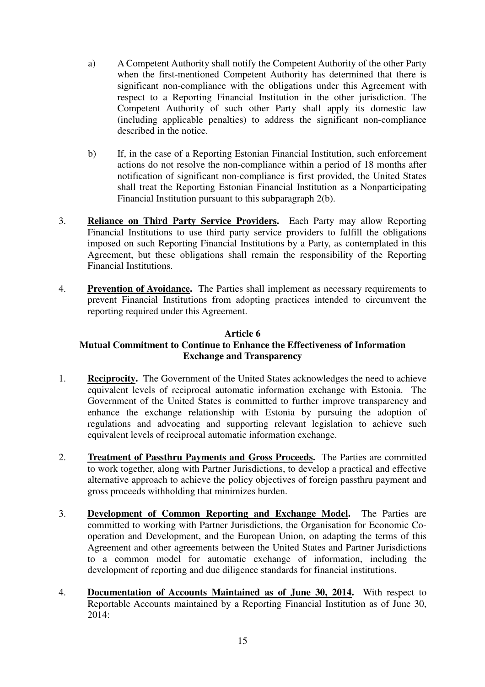- a) A Competent Authority shall notify the Competent Authority of the other Party when the first-mentioned Competent Authority has determined that there is significant non-compliance with the obligations under this Agreement with respect to a Reporting Financial Institution in the other jurisdiction. The Competent Authority of such other Party shall apply its domestic law (including applicable penalties) to address the significant non-compliance described in the notice.
- b) If, in the case of a Reporting Estonian Financial Institution, such enforcement actions do not resolve the non-compliance within a period of 18 months after notification of significant non-compliance is first provided, the United States shall treat the Reporting Estonian Financial Institution as a Nonparticipating Financial Institution pursuant to this subparagraph 2(b).
- 3. **Reliance on Third Party Service Providers.** Each Party may allow Reporting Financial Institutions to use third party service providers to fulfill the obligations imposed on such Reporting Financial Institutions by a Party, as contemplated in this Agreement, but these obligations shall remain the responsibility of the Reporting Financial Institutions.
- 4. **Prevention of Avoidance.** The Parties shall implement as necessary requirements to prevent Financial Institutions from adopting practices intended to circumvent the reporting required under this Agreement.

## **Article 6 Mutual Commitment to Continue to Enhance the Effectiveness of Information Exchange and Transparency**

- 1. **Reciprocity.** The Government of the United States acknowledges the need to achieve equivalent levels of reciprocal automatic information exchange with Estonia. The Government of the United States is committed to further improve transparency and enhance the exchange relationship with Estonia by pursuing the adoption of regulations and advocating and supporting relevant legislation to achieve such equivalent levels of reciprocal automatic information exchange.
- 2. **Treatment of Passthru Payments and Gross Proceeds.** The Parties are committed to work together, along with Partner Jurisdictions, to develop a practical and effective alternative approach to achieve the policy objectives of foreign passthru payment and gross proceeds withholding that minimizes burden.
- 3. **Development of Common Reporting and Exchange Model.** The Parties are committed to working with Partner Jurisdictions, the Organisation for Economic Cooperation and Development, and the European Union, on adapting the terms of this Agreement and other agreements between the United States and Partner Jurisdictions to a common model for automatic exchange of information, including the development of reporting and due diligence standards for financial institutions.
- 4. **Documentation of Accounts Maintained as of June 30, 2014.** With respect to Reportable Accounts maintained by a Reporting Financial Institution as of June 30, 2014: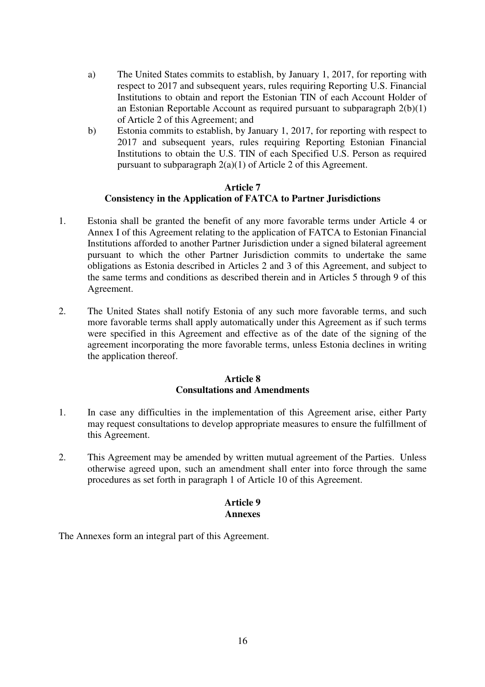- a) The United States commits to establish, by January 1, 2017, for reporting with respect to 2017 and subsequent years, rules requiring Reporting U.S. Financial Institutions to obtain and report the Estonian TIN of each Account Holder of an Estonian Reportable Account as required pursuant to subparagraph 2(b)(1) of Article 2 of this Agreement; and
- b) Estonia commits to establish, by January 1, 2017, for reporting with respect to 2017 and subsequent years, rules requiring Reporting Estonian Financial Institutions to obtain the U.S. TIN of each Specified U.S. Person as required pursuant to subparagraph 2(a)(1) of Article 2 of this Agreement.

### **Article 7 Consistency in the Application of FATCA to Partner Jurisdictions**

- 1. Estonia shall be granted the benefit of any more favorable terms under Article 4 or Annex I of this Agreement relating to the application of FATCA to Estonian Financial Institutions afforded to another Partner Jurisdiction under a signed bilateral agreement pursuant to which the other Partner Jurisdiction commits to undertake the same obligations as Estonia described in Articles 2 and 3 of this Agreement, and subject to the same terms and conditions as described therein and in Articles 5 through 9 of this Agreement.
- 2. The United States shall notify Estonia of any such more favorable terms, and such more favorable terms shall apply automatically under this Agreement as if such terms were specified in this Agreement and effective as of the date of the signing of the agreement incorporating the more favorable terms, unless Estonia declines in writing the application thereof.

#### **Article 8 Consultations and Amendments**

- 1. In case any difficulties in the implementation of this Agreement arise, either Party may request consultations to develop appropriate measures to ensure the fulfillment of this Agreement.
- 2. This Agreement may be amended by written mutual agreement of the Parties. Unless otherwise agreed upon, such an amendment shall enter into force through the same procedures as set forth in paragraph 1 of Article 10 of this Agreement.

### **Article 9 Annexes**

The Annexes form an integral part of this Agreement.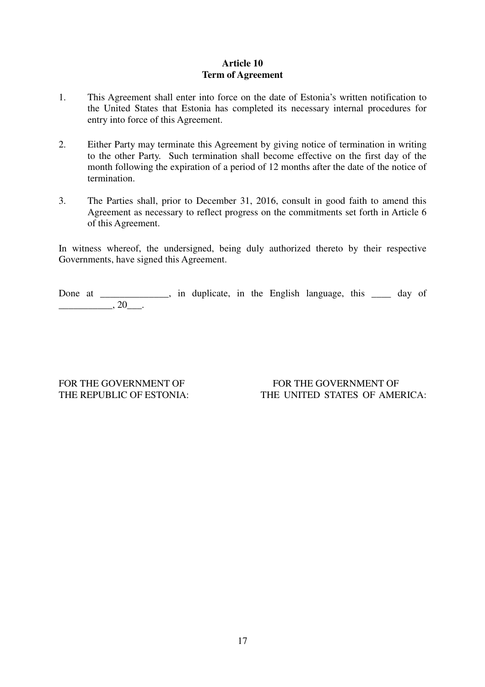## **Article 10 Term of Agreement**

- 1. This Agreement shall enter into force on the date of Estonia's written notification to the United States that Estonia has completed its necessary internal procedures for entry into force of this Agreement.
- 2. Either Party may terminate this Agreement by giving notice of termination in writing to the other Party. Such termination shall become effective on the first day of the month following the expiration of a period of 12 months after the date of the notice of termination.
- 3. The Parties shall, prior to December 31, 2016, consult in good faith to amend this Agreement as necessary to reflect progress on the commitments set forth in Article 6 of this Agreement.

In witness whereof, the undersigned, being duly authorized thereto by their respective Governments, have signed this Agreement.

Done at \_\_\_\_\_\_\_\_\_\_, in duplicate, in the English language, this \_\_\_\_ day of  $\overline{\phantom{a}}$ , 20 $\overline{\phantom{a}}$ .

FOR THE GOVERNMENT OF FOR THE GOVERNMENT OF THE REPUBLIC OF ESTONIA: THE UNITED STATES OF AMERICA: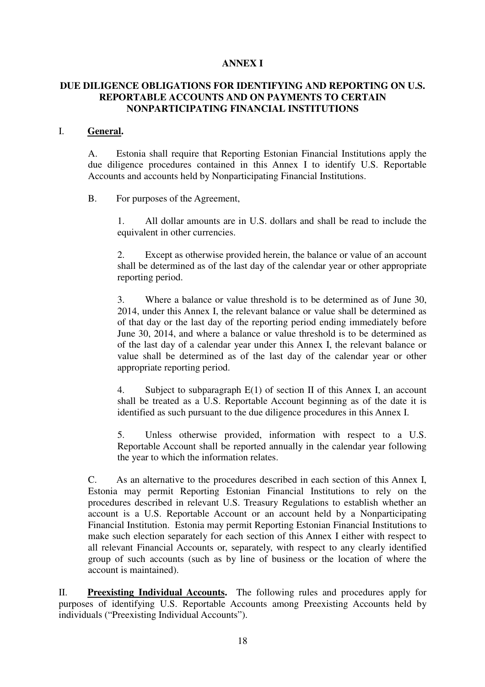### **ANNEX I**

## **DUE DILIGENCE OBLIGATIONS FOR IDENTIFYING AND REPORTING ON U.S. REPORTABLE ACCOUNTS AND ON PAYMENTS TO CERTAIN NONPARTICIPATING FINANCIAL INSTITUTIONS**

#### I. **General.**

A. Estonia shall require that Reporting Estonian Financial Institutions apply the due diligence procedures contained in this Annex I to identify U.S. Reportable Accounts and accounts held by Nonparticipating Financial Institutions.

#### B. For purposes of the Agreement,

1. All dollar amounts are in U.S. dollars and shall be read to include the equivalent in other currencies.

2. Except as otherwise provided herein, the balance or value of an account shall be determined as of the last day of the calendar year or other appropriate reporting period.

3. Where a balance or value threshold is to be determined as of June 30, 2014, under this Annex I, the relevant balance or value shall be determined as of that day or the last day of the reporting period ending immediately before June 30, 2014, and where a balance or value threshold is to be determined as of the last day of a calendar year under this Annex I, the relevant balance or value shall be determined as of the last day of the calendar year or other appropriate reporting period.

4. Subject to subparagraph E(1) of section II of this Annex I, an account shall be treated as a U.S. Reportable Account beginning as of the date it is identified as such pursuant to the due diligence procedures in this Annex I.

5. Unless otherwise provided, information with respect to a U.S. Reportable Account shall be reported annually in the calendar year following the year to which the information relates.

C. As an alternative to the procedures described in each section of this Annex I, Estonia may permit Reporting Estonian Financial Institutions to rely on the procedures described in relevant U.S. Treasury Regulations to establish whether an account is a U.S. Reportable Account or an account held by a Nonparticipating Financial Institution. Estonia may permit Reporting Estonian Financial Institutions to make such election separately for each section of this Annex I either with respect to all relevant Financial Accounts or, separately, with respect to any clearly identified group of such accounts (such as by line of business or the location of where the account is maintained).

II. **Preexisting Individual Accounts.** The following rules and procedures apply for purposes of identifying U.S. Reportable Accounts among Preexisting Accounts held by individuals ("Preexisting Individual Accounts").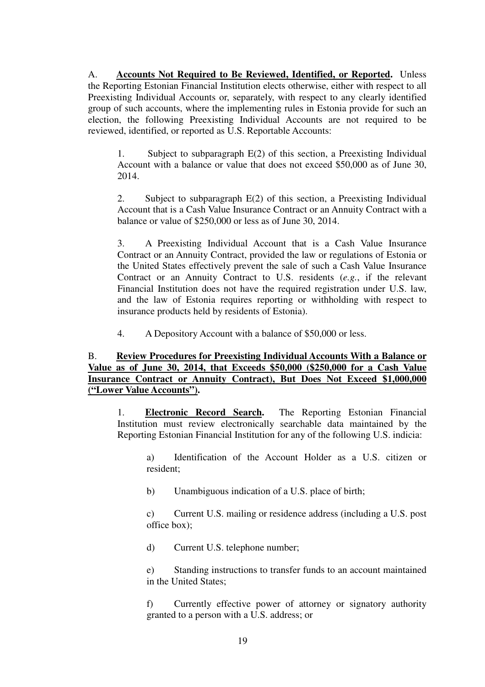A. **Accounts Not Required to Be Reviewed, Identified, or Reported.** Unless the Reporting Estonian Financial Institution elects otherwise, either with respect to all Preexisting Individual Accounts or, separately, with respect to any clearly identified group of such accounts, where the implementing rules in Estonia provide for such an election, the following Preexisting Individual Accounts are not required to be reviewed, identified, or reported as U.S. Reportable Accounts:

1. Subject to subparagraph E(2) of this section, a Preexisting Individual Account with a balance or value that does not exceed \$50,000 as of June 30, 2014.

2. Subject to subparagraph E(2) of this section, a Preexisting Individual Account that is a Cash Value Insurance Contract or an Annuity Contract with a balance or value of \$250,000 or less as of June 30, 2014.

3. A Preexisting Individual Account that is a Cash Value Insurance Contract or an Annuity Contract, provided the law or regulations of Estonia or the United States effectively prevent the sale of such a Cash Value Insurance Contract or an Annuity Contract to U.S. residents (*e.g.*, if the relevant Financial Institution does not have the required registration under U.S. law, and the law of Estonia requires reporting or withholding with respect to insurance products held by residents of Estonia).

4. A Depository Account with a balance of \$50,000 or less.

## B. **Review Procedures for Preexisting Individual Accounts With a Balance or Value as of June 30, 2014, that Exceeds \$50,000 (\$250,000 for a Cash Value Insurance Contract or Annuity Contract), But Does Not Exceed \$1,000,000 ("Lower Value Accounts").**

1. **Electronic Record Search.** The Reporting Estonian Financial Institution must review electronically searchable data maintained by the Reporting Estonian Financial Institution for any of the following U.S. indicia:

a) Identification of the Account Holder as a U.S. citizen or resident;

b) Unambiguous indication of a U.S. place of birth;

c) Current U.S. mailing or residence address (including a U.S. post office box);

d) Current U.S. telephone number;

e) Standing instructions to transfer funds to an account maintained in the United States;

f) Currently effective power of attorney or signatory authority granted to a person with a U.S. address; or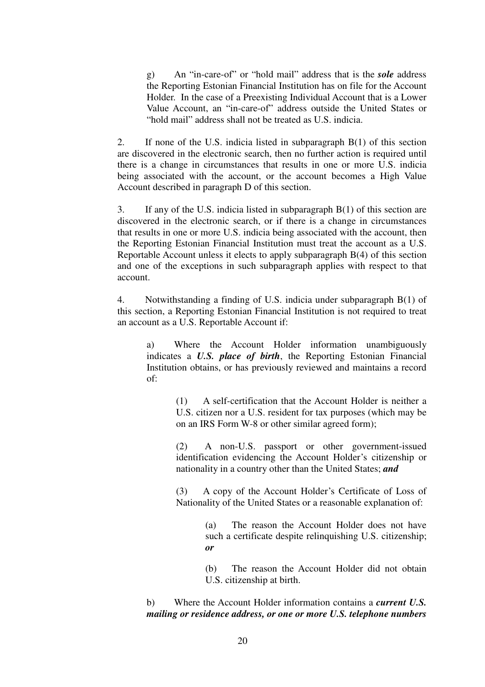g) An "in-care-of" or "hold mail" address that is the *sole* address the Reporting Estonian Financial Institution has on file for the Account Holder. In the case of a Preexisting Individual Account that is a Lower Value Account, an "in-care-of" address outside the United States or "hold mail" address shall not be treated as U.S. indicia.

2. If none of the U.S. indicia listed in subparagraph B(1) of this section are discovered in the electronic search, then no further action is required until there is a change in circumstances that results in one or more U.S. indicia being associated with the account, or the account becomes a High Value Account described in paragraph D of this section.

3. If any of the U.S. indicia listed in subparagraph B(1) of this section are discovered in the electronic search, or if there is a change in circumstances that results in one or more U.S. indicia being associated with the account, then the Reporting Estonian Financial Institution must treat the account as a U.S. Reportable Account unless it elects to apply subparagraph B(4) of this section and one of the exceptions in such subparagraph applies with respect to that account.

4. Notwithstanding a finding of U.S. indicia under subparagraph B(1) of this section, a Reporting Estonian Financial Institution is not required to treat an account as a U.S. Reportable Account if:

a) Where the Account Holder information unambiguously indicates a *U.S. place of birth*, the Reporting Estonian Financial Institution obtains, or has previously reviewed and maintains a record of:

> (1) A self-certification that the Account Holder is neither a U.S. citizen nor a U.S. resident for tax purposes (which may be on an IRS Form W-8 or other similar agreed form);

> (2) A non-U.S. passport or other government-issued identification evidencing the Account Holder's citizenship or nationality in a country other than the United States; *and*

> (3) A copy of the Account Holder's Certificate of Loss of Nationality of the United States or a reasonable explanation of:

> > (a) The reason the Account Holder does not have such a certificate despite relinquishing U.S. citizenship; *or*

> > (b) The reason the Account Holder did not obtain U.S. citizenship at birth.

b) Where the Account Holder information contains a *current U.S. mailing or residence address, or one or more U.S. telephone numbers*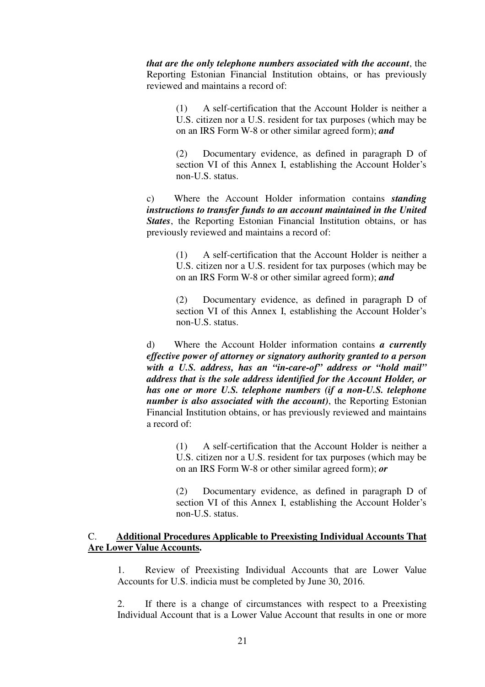*that are the only telephone numbers associated with the account*, the Reporting Estonian Financial Institution obtains, or has previously reviewed and maintains a record of:

> (1) A self-certification that the Account Holder is neither a U.S. citizen nor a U.S. resident for tax purposes (which may be on an IRS Form W-8 or other similar agreed form); *and*

> (2) Documentary evidence, as defined in paragraph D of section VI of this Annex I, establishing the Account Holder's non-U.S. status.

c) Where the Account Holder information contains *standing instructions to transfer funds to an account maintained in the United States*, the Reporting Estonian Financial Institution obtains, or has previously reviewed and maintains a record of:

> (1) A self-certification that the Account Holder is neither a U.S. citizen nor a U.S. resident for tax purposes (which may be on an IRS Form W-8 or other similar agreed form); *and*

> (2) Documentary evidence, as defined in paragraph D of section VI of this Annex I, establishing the Account Holder's non-U.S. status.

d) Where the Account Holder information contains *a currently effective power of attorney or signatory authority granted to a person with a U.S. address, has an "in-care-of" address or "hold mail" address that is the sole address identified for the Account Holder, or has one or more U.S. telephone numbers (if a non-U.S. telephone number is also associated with the account)*, the Reporting Estonian Financial Institution obtains, or has previously reviewed and maintains a record of:

> (1) A self-certification that the Account Holder is neither a U.S. citizen nor a U.S. resident for tax purposes (which may be on an IRS Form W-8 or other similar agreed form); *or*

> (2) Documentary evidence, as defined in paragraph D of section VI of this Annex I, establishing the Account Holder's non-U.S. status.

### C. **Additional Procedures Applicable to Preexisting Individual Accounts That Are Lower Value Accounts.**

1. Review of Preexisting Individual Accounts that are Lower Value Accounts for U.S. indicia must be completed by June 30, 2016.

2. If there is a change of circumstances with respect to a Preexisting Individual Account that is a Lower Value Account that results in one or more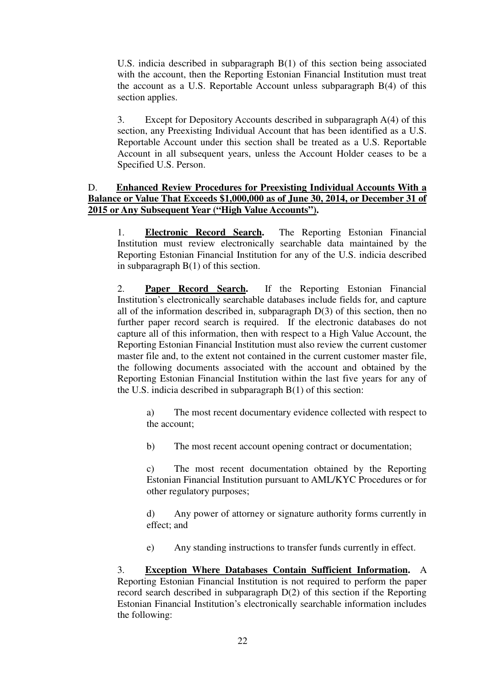U.S. indicia described in subparagraph B(1) of this section being associated with the account, then the Reporting Estonian Financial Institution must treat the account as a U.S. Reportable Account unless subparagraph B(4) of this section applies.

3. Except for Depository Accounts described in subparagraph A(4) of this section, any Preexisting Individual Account that has been identified as a U.S. Reportable Account under this section shall be treated as a U.S. Reportable Account in all subsequent years, unless the Account Holder ceases to be a Specified U.S. Person.

### D. **Enhanced Review Procedures for Preexisting Individual Accounts With a Balance or Value That Exceeds \$1,000,000 as of June 30, 2014, or December 31 of 2015 or Any Subsequent Year ("High Value Accounts").**

1. **Electronic Record Search.** The Reporting Estonian Financial Institution must review electronically searchable data maintained by the Reporting Estonian Financial Institution for any of the U.S. indicia described in subparagraph B(1) of this section.

2. **Paper Record Search.** If the Reporting Estonian Financial Institution's electronically searchable databases include fields for, and capture all of the information described in, subparagraph D(3) of this section, then no further paper record search is required. If the electronic databases do not capture all of this information, then with respect to a High Value Account, the Reporting Estonian Financial Institution must also review the current customer master file and, to the extent not contained in the current customer master file, the following documents associated with the account and obtained by the Reporting Estonian Financial Institution within the last five years for any of the U.S. indicia described in subparagraph B(1) of this section:

a) The most recent documentary evidence collected with respect to the account;

b) The most recent account opening contract or documentation;

c) The most recent documentation obtained by the Reporting Estonian Financial Institution pursuant to AML/KYC Procedures or for other regulatory purposes;

d) Any power of attorney or signature authority forms currently in effect; and

e) Any standing instructions to transfer funds currently in effect.

3. **Exception Where Databases Contain Sufficient Information.** A Reporting Estonian Financial Institution is not required to perform the paper record search described in subparagraph D(2) of this section if the Reporting Estonian Financial Institution's electronically searchable information includes the following: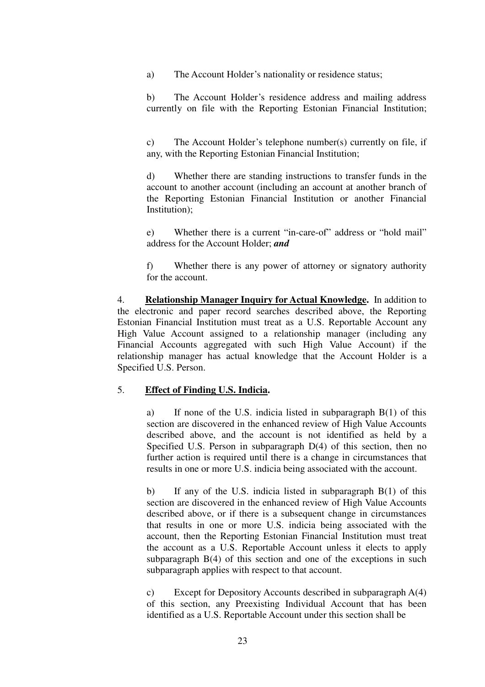a) The Account Holder's nationality or residence status;

b) The Account Holder's residence address and mailing address currently on file with the Reporting Estonian Financial Institution;

c) The Account Holder's telephone number(s) currently on file, if any, with the Reporting Estonian Financial Institution;

d) Whether there are standing instructions to transfer funds in the account to another account (including an account at another branch of the Reporting Estonian Financial Institution or another Financial Institution);

e) Whether there is a current "in-care-of" address or "hold mail" address for the Account Holder; *and*

f) Whether there is any power of attorney or signatory authority for the account.

4. **Relationship Manager Inquiry for Actual Knowledge.** In addition to the electronic and paper record searches described above, the Reporting Estonian Financial Institution must treat as a U.S. Reportable Account any High Value Account assigned to a relationship manager (including any Financial Accounts aggregated with such High Value Account) if the relationship manager has actual knowledge that the Account Holder is a Specified U.S. Person.

## 5. **Effect of Finding U.S. Indicia.**

a) If none of the U.S. indicia listed in subparagraph B(1) of this section are discovered in the enhanced review of High Value Accounts described above, and the account is not identified as held by a Specified U.S. Person in subparagraph D(4) of this section, then no further action is required until there is a change in circumstances that results in one or more U.S. indicia being associated with the account.

b) If any of the U.S. indicia listed in subparagraph B(1) of this section are discovered in the enhanced review of High Value Accounts described above, or if there is a subsequent change in circumstances that results in one or more U.S. indicia being associated with the account, then the Reporting Estonian Financial Institution must treat the account as a U.S. Reportable Account unless it elects to apply subparagraph B(4) of this section and one of the exceptions in such subparagraph applies with respect to that account.

c) Except for Depository Accounts described in subparagraph A(4) of this section, any Preexisting Individual Account that has been identified as a U.S. Reportable Account under this section shall be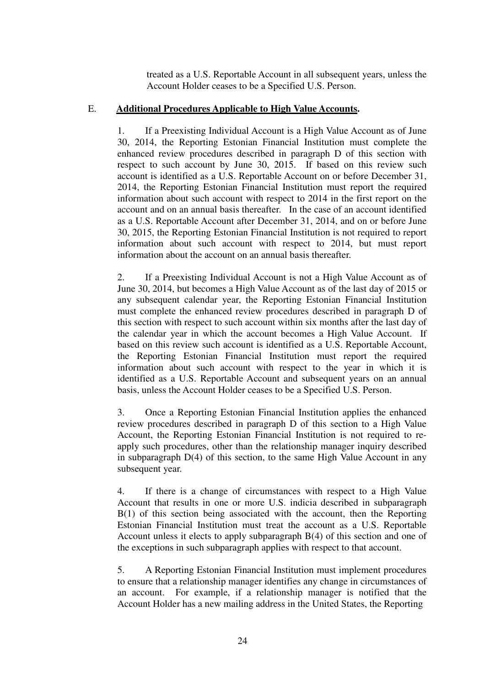treated as a U.S. Reportable Account in all subsequent years, unless the Account Holder ceases to be a Specified U.S. Person.

### E. **Additional Procedures Applicable to High Value Accounts.**

1. If a Preexisting Individual Account is a High Value Account as of June 30, 2014, the Reporting Estonian Financial Institution must complete the enhanced review procedures described in paragraph D of this section with respect to such account by June 30, 2015. If based on this review such account is identified as a U.S. Reportable Account on or before December 31, 2014, the Reporting Estonian Financial Institution must report the required information about such account with respect to 2014 in the first report on the account and on an annual basis thereafter. In the case of an account identified as a U.S. Reportable Account after December 31, 2014, and on or before June 30, 2015, the Reporting Estonian Financial Institution is not required to report information about such account with respect to 2014, but must report information about the account on an annual basis thereafter.

2. If a Preexisting Individual Account is not a High Value Account as of June 30, 2014, but becomes a High Value Account as of the last day of 2015 or any subsequent calendar year, the Reporting Estonian Financial Institution must complete the enhanced review procedures described in paragraph D of this section with respect to such account within six months after the last day of the calendar year in which the account becomes a High Value Account. If based on this review such account is identified as a U.S. Reportable Account, the Reporting Estonian Financial Institution must report the required information about such account with respect to the year in which it is identified as a U.S. Reportable Account and subsequent years on an annual basis, unless the Account Holder ceases to be a Specified U.S. Person.

3. Once a Reporting Estonian Financial Institution applies the enhanced review procedures described in paragraph D of this section to a High Value Account, the Reporting Estonian Financial Institution is not required to reapply such procedures, other than the relationship manager inquiry described in subparagraph D(4) of this section, to the same High Value Account in any subsequent year.

4. If there is a change of circumstances with respect to a High Value Account that results in one or more U.S. indicia described in subparagraph B(1) of this section being associated with the account, then the Reporting Estonian Financial Institution must treat the account as a U.S. Reportable Account unless it elects to apply subparagraph B(4) of this section and one of the exceptions in such subparagraph applies with respect to that account.

5. A Reporting Estonian Financial Institution must implement procedures to ensure that a relationship manager identifies any change in circumstances of an account. For example, if a relationship manager is notified that the Account Holder has a new mailing address in the United States, the Reporting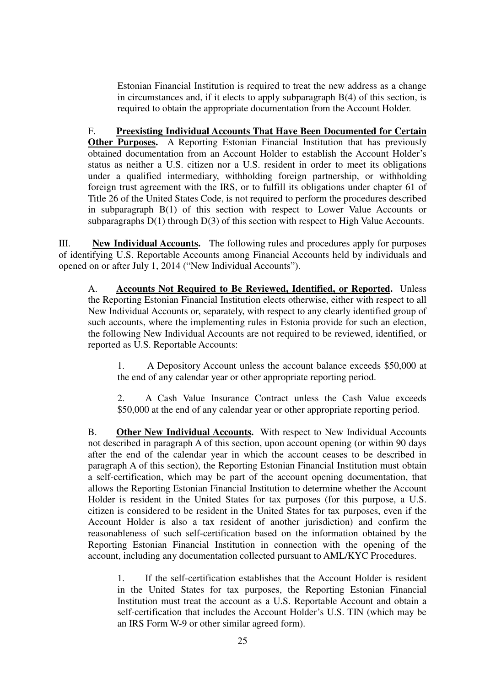Estonian Financial Institution is required to treat the new address as a change in circumstances and, if it elects to apply subparagraph B(4) of this section, is required to obtain the appropriate documentation from the Account Holder.

F. **Preexisting Individual Accounts That Have Been Documented for Certain Other Purposes.** A Reporting Estonian Financial Institution that has previously obtained documentation from an Account Holder to establish the Account Holder's status as neither a U.S. citizen nor a U.S. resident in order to meet its obligations under a qualified intermediary, withholding foreign partnership, or withholding foreign trust agreement with the IRS, or to fulfill its obligations under chapter 61 of Title 26 of the United States Code, is not required to perform the procedures described in subparagraph B(1) of this section with respect to Lower Value Accounts or subparagraphs D(1) through D(3) of this section with respect to High Value Accounts.

III. **New Individual Accounts.** The following rules and procedures apply for purposes of identifying U.S. Reportable Accounts among Financial Accounts held by individuals and opened on or after July 1, 2014 ("New Individual Accounts").

A. **Accounts Not Required to Be Reviewed, Identified, or Reported.** Unless the Reporting Estonian Financial Institution elects otherwise, either with respect to all New Individual Accounts or, separately, with respect to any clearly identified group of such accounts, where the implementing rules in Estonia provide for such an election, the following New Individual Accounts are not required to be reviewed, identified, or reported as U.S. Reportable Accounts:

1. A Depository Account unless the account balance exceeds \$50,000 at the end of any calendar year or other appropriate reporting period.

2. A Cash Value Insurance Contract unless the Cash Value exceeds \$50,000 at the end of any calendar year or other appropriate reporting period.

B. **Other New Individual Accounts.** With respect to New Individual Accounts not described in paragraph A of this section, upon account opening (or within 90 days after the end of the calendar year in which the account ceases to be described in paragraph A of this section), the Reporting Estonian Financial Institution must obtain a self-certification, which may be part of the account opening documentation, that allows the Reporting Estonian Financial Institution to determine whether the Account Holder is resident in the United States for tax purposes (for this purpose, a U.S. citizen is considered to be resident in the United States for tax purposes, even if the Account Holder is also a tax resident of another jurisdiction) and confirm the reasonableness of such self-certification based on the information obtained by the Reporting Estonian Financial Institution in connection with the opening of the account, including any documentation collected pursuant to AML/KYC Procedures.

1. If the self-certification establishes that the Account Holder is resident in the United States for tax purposes, the Reporting Estonian Financial Institution must treat the account as a U.S. Reportable Account and obtain a self-certification that includes the Account Holder's U.S. TIN (which may be an IRS Form W-9 or other similar agreed form).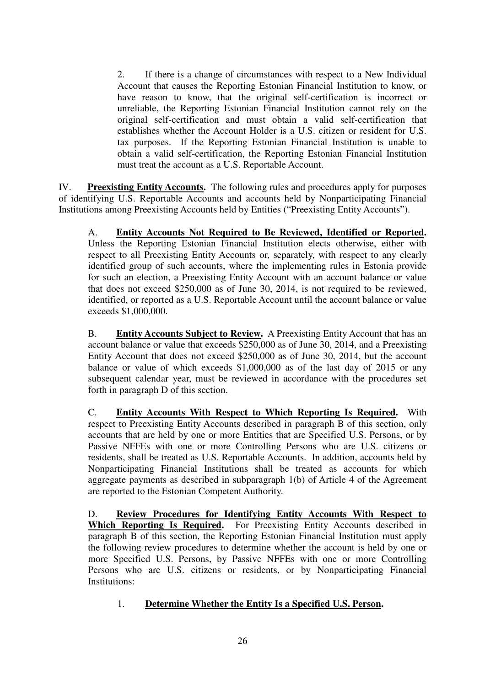2. If there is a change of circumstances with respect to a New Individual Account that causes the Reporting Estonian Financial Institution to know, or have reason to know, that the original self-certification is incorrect or unreliable, the Reporting Estonian Financial Institution cannot rely on the original self-certification and must obtain a valid self-certification that establishes whether the Account Holder is a U.S. citizen or resident for U.S. tax purposes. If the Reporting Estonian Financial Institution is unable to obtain a valid self-certification, the Reporting Estonian Financial Institution must treat the account as a U.S. Reportable Account.

IV. **Preexisting Entity Accounts.** The following rules and procedures apply for purposes of identifying U.S. Reportable Accounts and accounts held by Nonparticipating Financial Institutions among Preexisting Accounts held by Entities ("Preexisting Entity Accounts").

A. **Entity Accounts Not Required to Be Reviewed, Identified or Reported.**  Unless the Reporting Estonian Financial Institution elects otherwise, either with respect to all Preexisting Entity Accounts or, separately, with respect to any clearly identified group of such accounts, where the implementing rules in Estonia provide for such an election, a Preexisting Entity Account with an account balance or value that does not exceed \$250,000 as of June 30, 2014, is not required to be reviewed, identified, or reported as a U.S. Reportable Account until the account balance or value exceeds \$1,000,000.

B. **Entity Accounts Subject to Review.** A Preexisting Entity Account that has an account balance or value that exceeds \$250,000 as of June 30, 2014, and a Preexisting Entity Account that does not exceed \$250,000 as of June 30, 2014, but the account balance or value of which exceeds \$1,000,000 as of the last day of 2015 or any subsequent calendar year, must be reviewed in accordance with the procedures set forth in paragraph D of this section.

C. **Entity Accounts With Respect to Which Reporting Is Required.** With respect to Preexisting Entity Accounts described in paragraph B of this section, only accounts that are held by one or more Entities that are Specified U.S. Persons, or by Passive NFFEs with one or more Controlling Persons who are U.S. citizens or residents, shall be treated as U.S. Reportable Accounts. In addition, accounts held by Nonparticipating Financial Institutions shall be treated as accounts for which aggregate payments as described in subparagraph 1(b) of Article 4 of the Agreement are reported to the Estonian Competent Authority.

D. **Review Procedures for Identifying Entity Accounts With Respect to**  Which Reporting Is Required. For Preexisting Entity Accounts described in paragraph B of this section, the Reporting Estonian Financial Institution must apply the following review procedures to determine whether the account is held by one or more Specified U.S. Persons, by Passive NFFEs with one or more Controlling Persons who are U.S. citizens or residents, or by Nonparticipating Financial Institutions:

## 1. **Determine Whether the Entity Is a Specified U.S. Person.**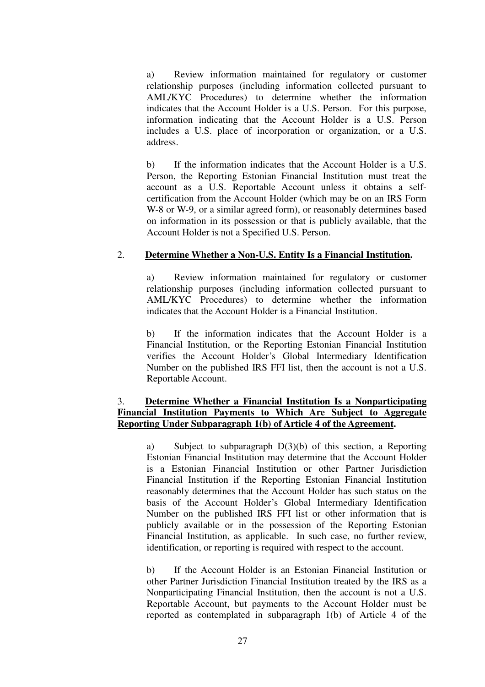a) Review information maintained for regulatory or customer relationship purposes (including information collected pursuant to AML/KYC Procedures) to determine whether the information indicates that the Account Holder is a U.S. Person. For this purpose, information indicating that the Account Holder is a U.S. Person includes a U.S. place of incorporation or organization, or a U.S. address.

b) If the information indicates that the Account Holder is a U.S. Person, the Reporting Estonian Financial Institution must treat the account as a U.S. Reportable Account unless it obtains a selfcertification from the Account Holder (which may be on an IRS Form W-8 or W-9, or a similar agreed form), or reasonably determines based on information in its possession or that is publicly available, that the Account Holder is not a Specified U.S. Person.

## 2. **Determine Whether a Non-U.S. Entity Is a Financial Institution.**

a) Review information maintained for regulatory or customer relationship purposes (including information collected pursuant to AML/KYC Procedures) to determine whether the information indicates that the Account Holder is a Financial Institution.

b) If the information indicates that the Account Holder is a Financial Institution, or the Reporting Estonian Financial Institution verifies the Account Holder's Global Intermediary Identification Number on the published IRS FFI list, then the account is not a U.S. Reportable Account.

## 3. **Determine Whether a Financial Institution Is a Nonparticipating Financial Institution Payments to Which Are Subject to Aggregate Reporting Under Subparagraph 1(b) of Article 4 of the Agreement.**

a) Subject to subparagraph D(3)(b) of this section, a Reporting Estonian Financial Institution may determine that the Account Holder is a Estonian Financial Institution or other Partner Jurisdiction Financial Institution if the Reporting Estonian Financial Institution reasonably determines that the Account Holder has such status on the basis of the Account Holder's Global Intermediary Identification Number on the published IRS FFI list or other information that is publicly available or in the possession of the Reporting Estonian Financial Institution, as applicable. In such case, no further review, identification, or reporting is required with respect to the account.

b) If the Account Holder is an Estonian Financial Institution or other Partner Jurisdiction Financial Institution treated by the IRS as a Nonparticipating Financial Institution, then the account is not a U.S. Reportable Account, but payments to the Account Holder must be reported as contemplated in subparagraph 1(b) of Article 4 of the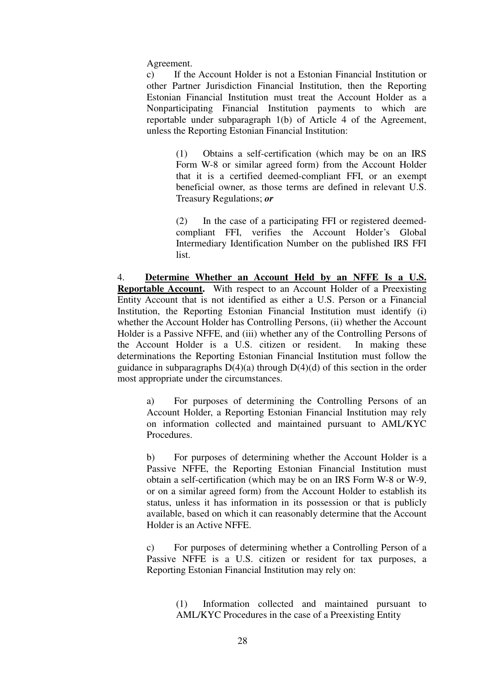Agreement.

c) If the Account Holder is not a Estonian Financial Institution or other Partner Jurisdiction Financial Institution, then the Reporting Estonian Financial Institution must treat the Account Holder as a Nonparticipating Financial Institution payments to which are reportable under subparagraph 1(b) of Article 4 of the Agreement, unless the Reporting Estonian Financial Institution:

> (1) Obtains a self-certification (which may be on an IRS Form W-8 or similar agreed form) from the Account Holder that it is a certified deemed-compliant FFI, or an exempt beneficial owner, as those terms are defined in relevant U.S. Treasury Regulations; *or*

> (2) In the case of a participating FFI or registered deemedcompliant FFI, verifies the Account Holder's Global Intermediary Identification Number on the published IRS FFI list.

4. **Determine Whether an Account Held by an NFFE Is a U.S. Reportable Account.** With respect to an Account Holder of a Preexisting Entity Account that is not identified as either a U.S. Person or a Financial Institution, the Reporting Estonian Financial Institution must identify (i) whether the Account Holder has Controlling Persons, (ii) whether the Account Holder is a Passive NFFE, and (iii) whether any of the Controlling Persons of the Account Holder is a U.S. citizen or resident. In making these determinations the Reporting Estonian Financial Institution must follow the guidance in subparagraphs  $D(4)(a)$  through  $D(4)(d)$  of this section in the order most appropriate under the circumstances.

a) For purposes of determining the Controlling Persons of an Account Holder, a Reporting Estonian Financial Institution may rely on information collected and maintained pursuant to AML/KYC Procedures.

b) For purposes of determining whether the Account Holder is a Passive NFFE, the Reporting Estonian Financial Institution must obtain a self-certification (which may be on an IRS Form W-8 or W-9, or on a similar agreed form) from the Account Holder to establish its status, unless it has information in its possession or that is publicly available, based on which it can reasonably determine that the Account Holder is an Active NFFE.

c) For purposes of determining whether a Controlling Person of a Passive NFFE is a U.S. citizen or resident for tax purposes, a Reporting Estonian Financial Institution may rely on:

> (1) Information collected and maintained pursuant to AML/KYC Procedures in the case of a Preexisting Entity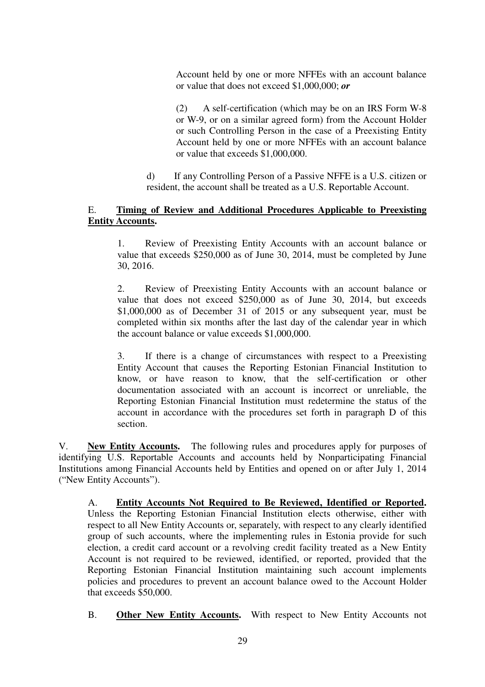Account held by one or more NFFEs with an account balance or value that does not exceed \$1,000,000; *or*

(2) A self-certification (which may be on an IRS Form W-8 or W-9, or on a similar agreed form) from the Account Holder or such Controlling Person in the case of a Preexisting Entity Account held by one or more NFFEs with an account balance or value that exceeds \$1,000,000.

d) If any Controlling Person of a Passive NFFE is a U.S. citizen or resident, the account shall be treated as a U.S. Reportable Account.

## E. **Timing of Review and Additional Procedures Applicable to Preexisting Entity Accounts.**

1. Review of Preexisting Entity Accounts with an account balance or value that exceeds \$250,000 as of June 30, 2014, must be completed by June 30, 2016.

2. Review of Preexisting Entity Accounts with an account balance or value that does not exceed \$250,000 as of June 30, 2014, but exceeds \$1,000,000 as of December 31 of 2015 or any subsequent year, must be completed within six months after the last day of the calendar year in which the account balance or value exceeds \$1,000,000.

3. If there is a change of circumstances with respect to a Preexisting Entity Account that causes the Reporting Estonian Financial Institution to know, or have reason to know, that the self-certification or other documentation associated with an account is incorrect or unreliable, the Reporting Estonian Financial Institution must redetermine the status of the account in accordance with the procedures set forth in paragraph D of this section.

V. **New Entity Accounts.** The following rules and procedures apply for purposes of identifying U.S. Reportable Accounts and accounts held by Nonparticipating Financial Institutions among Financial Accounts held by Entities and opened on or after July 1, 2014 ("New Entity Accounts").

A. **Entity Accounts Not Required to Be Reviewed, Identified or Reported.** Unless the Reporting Estonian Financial Institution elects otherwise, either with respect to all New Entity Accounts or, separately, with respect to any clearly identified group of such accounts, where the implementing rules in Estonia provide for such election, a credit card account or a revolving credit facility treated as a New Entity Account is not required to be reviewed, identified, or reported, provided that the Reporting Estonian Financial Institution maintaining such account implements policies and procedures to prevent an account balance owed to the Account Holder that exceeds \$50,000.

B. **Other New Entity Accounts.** With respect to New Entity Accounts not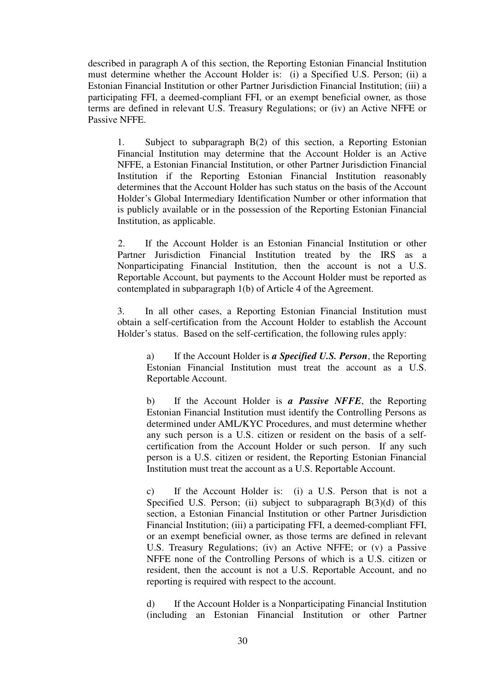described in paragraph A of this section, the Reporting Estonian Financial Institution must determine whether the Account Holder is: (i) a Specified U.S. Person; (ii) a Estonian Financial Institution or other Partner Jurisdiction Financial Institution; (iii) a participating FFI, a deemed-compliant FFI, or an exempt beneficial owner, as those terms are defined in relevant U.S. Treasury Regulations; or (iv) an Active NFFE or Passive NFFE.

1. Subject to subparagraph B(2) of this section, a Reporting Estonian Financial Institution may determine that the Account Holder is an Active NFFE, a Estonian Financial Institution, or other Partner Jurisdiction Financial Institution if the Reporting Estonian Financial Institution reasonably determines that the Account Holder has such status on the basis of the Account Holder's Global Intermediary Identification Number or other information that is publicly available or in the possession of the Reporting Estonian Financial Institution, as applicable.

2. If the Account Holder is an Estonian Financial Institution or other Partner Jurisdiction Financial Institution treated by the IRS as a Nonparticipating Financial Institution, then the account is not a U.S. Reportable Account, but payments to the Account Holder must be reported as contemplated in subparagraph 1(b) of Article 4 of the Agreement.

3. In all other cases, a Reporting Estonian Financial Institution must obtain a self-certification from the Account Holder to establish the Account Holder's status. Based on the self-certification, the following rules apply:

a) If the Account Holder is *a Specified U.S. Person*, the Reporting Estonian Financial Institution must treat the account as a U.S. Reportable Account.

b) If the Account Holder is *a Passive NFFE*, the Reporting Estonian Financial Institution must identify the Controlling Persons as determined under AML/KYC Procedures, and must determine whether any such person is a U.S. citizen or resident on the basis of a selfcertification from the Account Holder or such person. If any such person is a U.S. citizen or resident, the Reporting Estonian Financial Institution must treat the account as a U.S. Reportable Account.

c) If the Account Holder is: (i) a U.S. Person that is not a Specified U.S. Person; (ii) subject to subparagraph  $B(3)(d)$  of this section, a Estonian Financial Institution or other Partner Jurisdiction Financial Institution; (iii) a participating FFI, a deemed-compliant FFI, or an exempt beneficial owner, as those terms are defined in relevant U.S. Treasury Regulations; (iv) an Active NFFE; or (v) a Passive NFFE none of the Controlling Persons of which is a U.S. citizen or resident, then the account is not a U.S. Reportable Account, and no reporting is required with respect to the account.

d) If the Account Holder is a Nonparticipating Financial Institution (including an Estonian Financial Institution or other Partner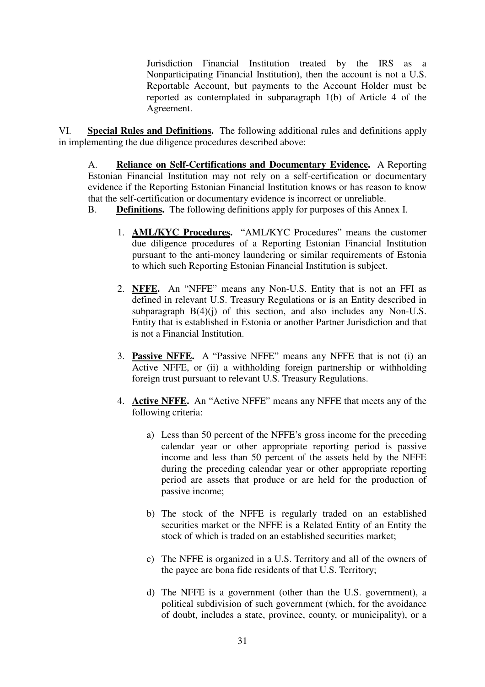Jurisdiction Financial Institution treated by the IRS as a Nonparticipating Financial Institution), then the account is not a U.S. Reportable Account, but payments to the Account Holder must be reported as contemplated in subparagraph 1(b) of Article 4 of the Agreement.

VI. **Special Rules and Definitions.** The following additional rules and definitions apply in implementing the due diligence procedures described above:

A. **Reliance on Self-Certifications and Documentary Evidence.** A Reporting Estonian Financial Institution may not rely on a self-certification or documentary evidence if the Reporting Estonian Financial Institution knows or has reason to know that the self-certification or documentary evidence is incorrect or unreliable.

B. **Definitions.** The following definitions apply for purposes of this Annex I.

- 1. **AML/KYC Procedures.** "AML/KYC Procedures" means the customer due diligence procedures of a Reporting Estonian Financial Institution pursuant to the anti-money laundering or similar requirements of Estonia to which such Reporting Estonian Financial Institution is subject.
- 2. **NFFE.** An "NFFE" means any Non-U.S. Entity that is not an FFI as defined in relevant U.S. Treasury Regulations or is an Entity described in subparagraph  $B(4)(i)$  of this section, and also includes any Non-U.S. Entity that is established in Estonia or another Partner Jurisdiction and that is not a Financial Institution.
- 3. **Passive NFFE.** A "Passive NFFE" means any NFFE that is not (i) an Active NFFE, or (ii) a withholding foreign partnership or withholding foreign trust pursuant to relevant U.S. Treasury Regulations.
- 4. **Active NFFE.** An "Active NFFE" means any NFFE that meets any of the following criteria:
	- a) Less than 50 percent of the NFFE's gross income for the preceding calendar year or other appropriate reporting period is passive income and less than 50 percent of the assets held by the NFFE during the preceding calendar year or other appropriate reporting period are assets that produce or are held for the production of passive income;
	- b) The stock of the NFFE is regularly traded on an established securities market or the NFFE is a Related Entity of an Entity the stock of which is traded on an established securities market;
	- c) The NFFE is organized in a U.S. Territory and all of the owners of the payee are bona fide residents of that U.S. Territory;
	- d) The NFFE is a government (other than the U.S. government), a political subdivision of such government (which, for the avoidance of doubt, includes a state, province, county, or municipality), or a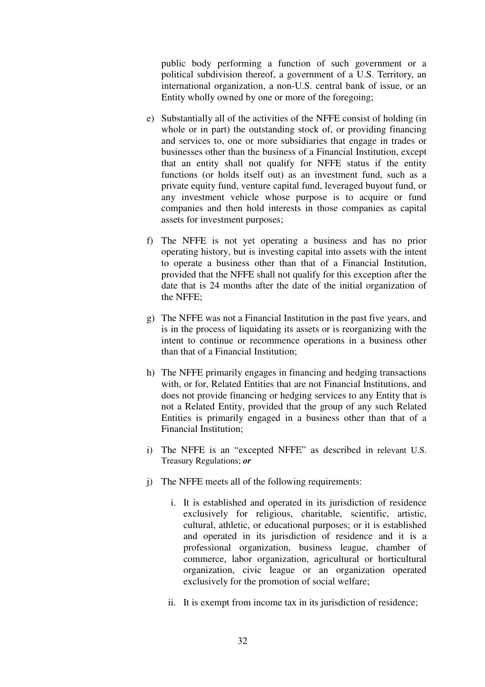public body performing a function of such government or a political subdivision thereof, a government of a U.S. Territory, an international organization, a non-U.S. central bank of issue, or an Entity wholly owned by one or more of the foregoing;

- e) Substantially all of the activities of the NFFE consist of holding (in whole or in part) the outstanding stock of, or providing financing and services to, one or more subsidiaries that engage in trades or businesses other than the business of a Financial Institution, except that an entity shall not qualify for NFFE status if the entity functions (or holds itself out) as an investment fund, such as a private equity fund, venture capital fund, leveraged buyout fund, or any investment vehicle whose purpose is to acquire or fund companies and then hold interests in those companies as capital assets for investment purposes;
- f) The NFFE is not yet operating a business and has no prior operating history, but is investing capital into assets with the intent to operate a business other than that of a Financial Institution, provided that the NFFE shall not qualify for this exception after the date that is 24 months after the date of the initial organization of the NFFE;
- g) The NFFE was not a Financial Institution in the past five years, and is in the process of liquidating its assets or is reorganizing with the intent to continue or recommence operations in a business other than that of a Financial Institution;
- h) The NFFE primarily engages in financing and hedging transactions with, or for, Related Entities that are not Financial Institutions, and does not provide financing or hedging services to any Entity that is not a Related Entity, provided that the group of any such Related Entities is primarily engaged in a business other than that of a Financial Institution;
- i) The NFFE is an "excepted NFFE" as described in relevant U.S. Treasury Regulations; *or*
- j) The NFFE meets all of the following requirements:
	- i. It is established and operated in its jurisdiction of residence exclusively for religious, charitable, scientific, artistic, cultural, athletic, or educational purposes; or it is established and operated in its jurisdiction of residence and it is a professional organization, business league, chamber of commerce, labor organization, agricultural or horticultural organization, civic league or an organization operated exclusively for the promotion of social welfare;
	- ii. It is exempt from income tax in its jurisdiction of residence;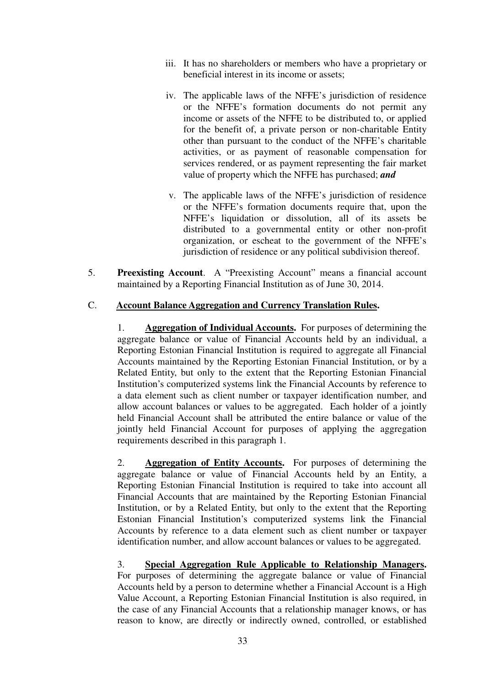- iii. It has no shareholders or members who have a proprietary or beneficial interest in its income or assets;
- iv. The applicable laws of the NFFE's jurisdiction of residence or the NFFE's formation documents do not permit any income or assets of the NFFE to be distributed to, or applied for the benefit of, a private person or non-charitable Entity other than pursuant to the conduct of the NFFE's charitable activities, or as payment of reasonable compensation for services rendered, or as payment representing the fair market value of property which the NFFE has purchased; *and*
- v. The applicable laws of the NFFE's jurisdiction of residence or the NFFE's formation documents require that, upon the NFFE's liquidation or dissolution, all of its assets be distributed to a governmental entity or other non-profit organization, or escheat to the government of the NFFE's jurisdiction of residence or any political subdivision thereof.
- 5. **Preexisting Account**. A "Preexisting Account" means a financial account maintained by a Reporting Financial Institution as of June 30, 2014.

### C. **Account Balance Aggregation and Currency Translation Rules.**

1. **Aggregation of Individual Accounts.** For purposes of determining the aggregate balance or value of Financial Accounts held by an individual, a Reporting Estonian Financial Institution is required to aggregate all Financial Accounts maintained by the Reporting Estonian Financial Institution, or by a Related Entity, but only to the extent that the Reporting Estonian Financial Institution's computerized systems link the Financial Accounts by reference to a data element such as client number or taxpayer identification number, and allow account balances or values to be aggregated. Each holder of a jointly held Financial Account shall be attributed the entire balance or value of the jointly held Financial Account for purposes of applying the aggregation requirements described in this paragraph 1.

2. **Aggregation of Entity Accounts.** For purposes of determining the aggregate balance or value of Financial Accounts held by an Entity, a Reporting Estonian Financial Institution is required to take into account all Financial Accounts that are maintained by the Reporting Estonian Financial Institution, or by a Related Entity, but only to the extent that the Reporting Estonian Financial Institution's computerized systems link the Financial Accounts by reference to a data element such as client number or taxpayer identification number, and allow account balances or values to be aggregated.

3. **Special Aggregation Rule Applicable to Relationship Managers.** For purposes of determining the aggregate balance or value of Financial Accounts held by a person to determine whether a Financial Account is a High Value Account, a Reporting Estonian Financial Institution is also required, in the case of any Financial Accounts that a relationship manager knows, or has reason to know, are directly or indirectly owned, controlled, or established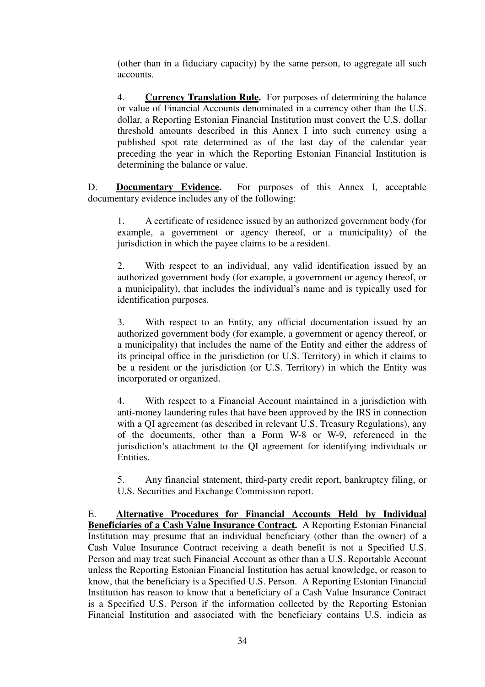(other than in a fiduciary capacity) by the same person, to aggregate all such accounts.

4. **Currency Translation Rule.** For purposes of determining the balance or value of Financial Accounts denominated in a currency other than the U.S. dollar, a Reporting Estonian Financial Institution must convert the U.S. dollar threshold amounts described in this Annex I into such currency using a published spot rate determined as of the last day of the calendar year preceding the year in which the Reporting Estonian Financial Institution is determining the balance or value.

D. **Documentary Evidence.** For purposes of this Annex I, acceptable documentary evidence includes any of the following:

1. A certificate of residence issued by an authorized government body (for example, a government or agency thereof, or a municipality) of the jurisdiction in which the payee claims to be a resident.

2. With respect to an individual, any valid identification issued by an authorized government body (for example, a government or agency thereof, or a municipality), that includes the individual's name and is typically used for identification purposes.

3. With respect to an Entity, any official documentation issued by an authorized government body (for example, a government or agency thereof, or a municipality) that includes the name of the Entity and either the address of its principal office in the jurisdiction (or U.S. Territory) in which it claims to be a resident or the jurisdiction (or U.S. Territory) in which the Entity was incorporated or organized.

4. With respect to a Financial Account maintained in a jurisdiction with anti-money laundering rules that have been approved by the IRS in connection with a OI agreement (as described in relevant U.S. Treasury Regulations), any of the documents, other than a Form W-8 or W-9, referenced in the jurisdiction's attachment to the QI agreement for identifying individuals or Entities.

5. Any financial statement, third-party credit report, bankruptcy filing, or U.S. Securities and Exchange Commission report.

E. **Alternative Procedures for Financial Accounts Held by Individual Beneficiaries of a Cash Value Insurance Contract.** A Reporting Estonian Financial Institution may presume that an individual beneficiary (other than the owner) of a Cash Value Insurance Contract receiving a death benefit is not a Specified U.S. Person and may treat such Financial Account as other than a U.S. Reportable Account unless the Reporting Estonian Financial Institution has actual knowledge, or reason to know, that the beneficiary is a Specified U.S. Person. A Reporting Estonian Financial Institution has reason to know that a beneficiary of a Cash Value Insurance Contract is a Specified U.S. Person if the information collected by the Reporting Estonian Financial Institution and associated with the beneficiary contains U.S. indicia as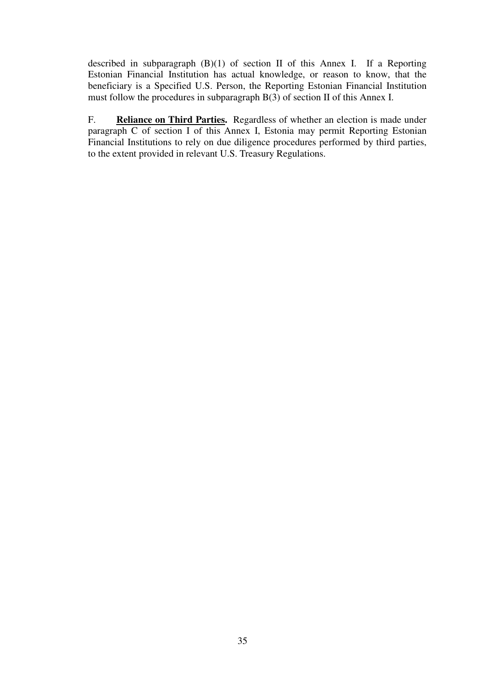described in subparagraph (B)(1) of section II of this Annex I. If a Reporting Estonian Financial Institution has actual knowledge, or reason to know, that the beneficiary is a Specified U.S. Person, the Reporting Estonian Financial Institution must follow the procedures in subparagraph B(3) of section II of this Annex I.

F. **Reliance on Third Parties.** Regardless of whether an election is made under paragraph C of section I of this Annex I, Estonia may permit Reporting Estonian Financial Institutions to rely on due diligence procedures performed by third parties, to the extent provided in relevant U.S. Treasury Regulations.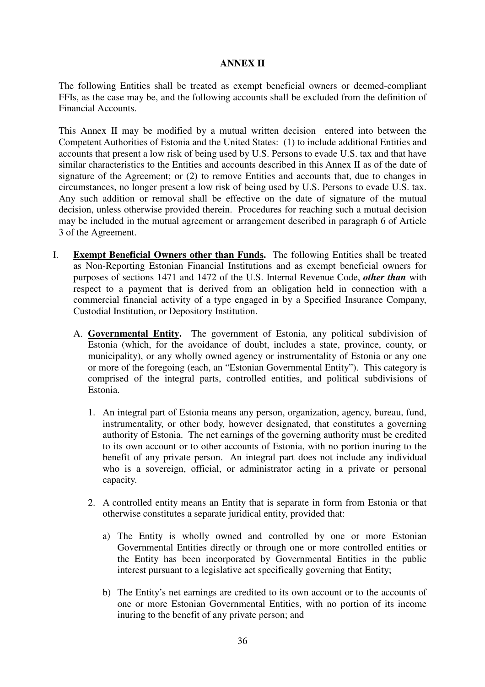#### **ANNEX II**

The following Entities shall be treated as exempt beneficial owners or deemed-compliant FFIs, as the case may be, and the following accounts shall be excluded from the definition of Financial Accounts.

This Annex II may be modified by a mutual written decision entered into between the Competent Authorities of Estonia and the United States: (1) to include additional Entities and accounts that present a low risk of being used by U.S. Persons to evade U.S. tax and that have similar characteristics to the Entities and accounts described in this Annex II as of the date of signature of the Agreement; or (2) to remove Entities and accounts that, due to changes in circumstances, no longer present a low risk of being used by U.S. Persons to evade U.S. tax. Any such addition or removal shall be effective on the date of signature of the mutual decision, unless otherwise provided therein. Procedures for reaching such a mutual decision may be included in the mutual agreement or arrangement described in paragraph 6 of Article 3 of the Agreement.

- I. **Exempt Beneficial Owners other than Funds.** The following Entities shall be treated as Non-Reporting Estonian Financial Institutions and as exempt beneficial owners for purposes of sections 1471 and 1472 of the U.S. Internal Revenue Code, *other than* with respect to a payment that is derived from an obligation held in connection with a commercial financial activity of a type engaged in by a Specified Insurance Company, Custodial Institution, or Depository Institution.
	- A. **Governmental Entity.** The government of Estonia, any political subdivision of Estonia (which, for the avoidance of doubt, includes a state, province, county, or municipality), or any wholly owned agency or instrumentality of Estonia or any one or more of the foregoing (each, an "Estonian Governmental Entity"). This category is comprised of the integral parts, controlled entities, and political subdivisions of Estonia.
		- 1. An integral part of Estonia means any person, organization, agency, bureau, fund, instrumentality, or other body, however designated, that constitutes a governing authority of Estonia. The net earnings of the governing authority must be credited to its own account or to other accounts of Estonia, with no portion inuring to the benefit of any private person. An integral part does not include any individual who is a sovereign, official, or administrator acting in a private or personal capacity.
		- 2. A controlled entity means an Entity that is separate in form from Estonia or that otherwise constitutes a separate juridical entity, provided that:
			- a) The Entity is wholly owned and controlled by one or more Estonian Governmental Entities directly or through one or more controlled entities or the Entity has been incorporated by Governmental Entities in the public interest pursuant to a legislative act specifically governing that Entity;
			- b) The Entity's net earnings are credited to its own account or to the accounts of one or more Estonian Governmental Entities, with no portion of its income inuring to the benefit of any private person; and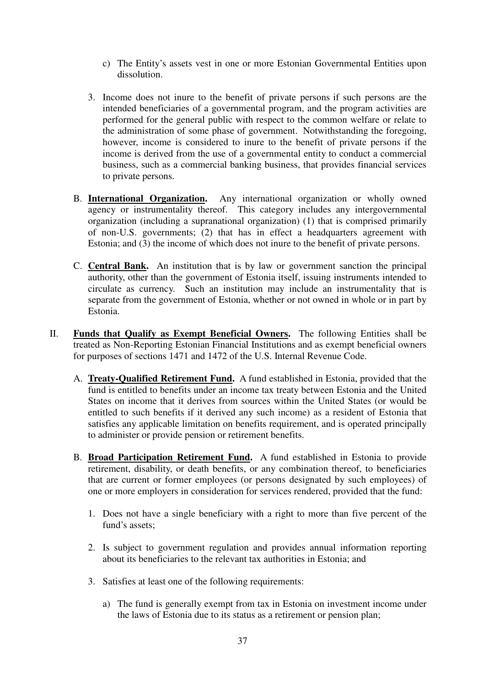- c) The Entity's assets vest in one or more Estonian Governmental Entities upon dissolution.
- 3. Income does not inure to the benefit of private persons if such persons are the intended beneficiaries of a governmental program, and the program activities are performed for the general public with respect to the common welfare or relate to the administration of some phase of government. Notwithstanding the foregoing, however, income is considered to inure to the benefit of private persons if the income is derived from the use of a governmental entity to conduct a commercial business, such as a commercial banking business, that provides financial services to private persons.
- B. **International Organization.** Any international organization or wholly owned agency or instrumentality thereof.This category includes any intergovernmental organization (including a supranational organization) (1) that is comprised primarily of non-U.S. governments; (2) that has in effect a headquarters agreement with Estonia; and (3) the income of which does not inure to the benefit of private persons.
- C. **Central Bank.** An institution that is by law or government sanction the principal authority, other than the government of Estonia itself, issuing instruments intended to circulate as currency. Such an institution may include an instrumentality that is separate from the government of Estonia, whether or not owned in whole or in part by Estonia.
- II. **Funds that Qualify as Exempt Beneficial Owners.** The following Entities shall be treated as Non-Reporting Estonian Financial Institutions and as exempt beneficial owners for purposes of sections 1471 and 1472 of the U.S. Internal Revenue Code.
	- A. **Treaty-Qualified Retirement Fund.** A fund established in Estonia, provided that the fund is entitled to benefits under an income tax treaty between Estonia and the United States on income that it derives from sources within the United States (or would be entitled to such benefits if it derived any such income) as a resident of Estonia that satisfies any applicable limitation on benefits requirement, and is operated principally to administer or provide pension or retirement benefits.
	- B. **Broad Participation Retirement Fund.** A fund established in Estonia to provide retirement, disability, or death benefits, or any combination thereof, to beneficiaries that are current or former employees (or persons designated by such employees) of one or more employers in consideration for services rendered, provided that the fund:
		- 1. Does not have a single beneficiary with a right to more than five percent of the fund's assets:
		- 2. Is subject to government regulation and provides annual information reporting about its beneficiaries to the relevant tax authorities in Estonia; and
		- 3. Satisfies at least one of the following requirements:
			- a) The fund is generally exempt from tax in Estonia on investment income under the laws of Estonia due to its status as a retirement or pension plan;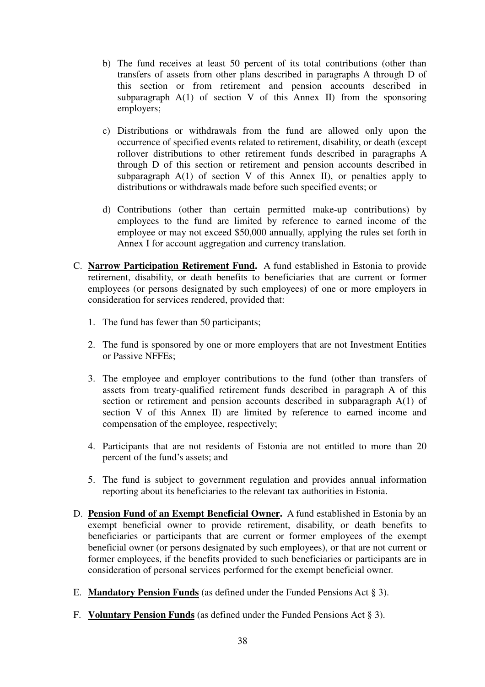- b) The fund receives at least 50 percent of its total contributions (other than transfers of assets from other plans described in paragraphs A through D of this section or from retirement and pension accounts described in subparagraph  $A(1)$  of section V of this Annex II) from the sponsoring employers;
- c) Distributions or withdrawals from the fund are allowed only upon the occurrence of specified events related to retirement, disability, or death (except rollover distributions to other retirement funds described in paragraphs A through D of this section or retirement and pension accounts described in subparagraph  $A(1)$  of section V of this Annex II), or penalties apply to distributions or withdrawals made before such specified events; or
- d) Contributions (other than certain permitted make-up contributions) by employees to the fund are limited by reference to earned income of the employee or may not exceed \$50,000 annually, applying the rules set forth in Annex I for account aggregation and currency translation.
- C. **Narrow Participation Retirement Fund.** A fund established in Estonia to provide retirement, disability, or death benefits to beneficiaries that are current or former employees (or persons designated by such employees) of one or more employers in consideration for services rendered, provided that:
	- 1. The fund has fewer than 50 participants;
	- 2. The fund is sponsored by one or more employers that are not Investment Entities or Passive NFFEs;
	- 3. The employee and employer contributions to the fund (other than transfers of assets from treaty-qualified retirement funds described in paragraph A of this section or retirement and pension accounts described in subparagraph A(1) of section V of this Annex II) are limited by reference to earned income and compensation of the employee, respectively;
	- 4. Participants that are not residents of Estonia are not entitled to more than 20 percent of the fund's assets; and
	- 5. The fund is subject to government regulation and provides annual information reporting about its beneficiaries to the relevant tax authorities in Estonia.
- D. **Pension Fund of an Exempt Beneficial Owner.** A fund established in Estonia by an exempt beneficial owner to provide retirement, disability, or death benefits to beneficiaries or participants that are current or former employees of the exempt beneficial owner (or persons designated by such employees), or that are not current or former employees, if the benefits provided to such beneficiaries or participants are in consideration of personal services performed for the exempt beneficial owner.
- E. **Mandatory Pension Funds** (as defined under the Funded Pensions Act § 3).
- F. **Voluntary Pension Funds** (as defined under the Funded Pensions Act § 3).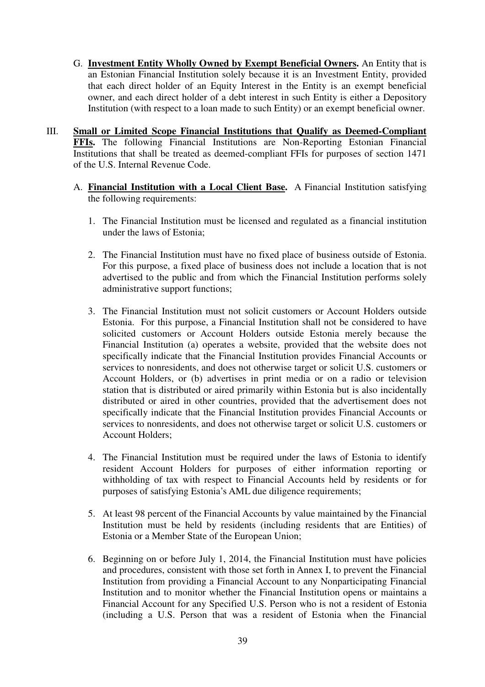- G. **Investment Entity Wholly Owned by Exempt Beneficial Owners.** An Entity that is an Estonian Financial Institution solely because it is an Investment Entity, provided that each direct holder of an Equity Interest in the Entity is an exempt beneficial owner, and each direct holder of a debt interest in such Entity is either a Depository Institution (with respect to a loan made to such Entity) or an exempt beneficial owner.
- III. **Small or Limited Scope Financial Institutions that Qualify as Deemed-Compliant FFIs.** The following Financial Institutions are Non-Reporting Estonian Financial Institutions that shall be treated as deemed-compliant FFIs for purposes of section 1471 of the U.S. Internal Revenue Code.
	- A. **Financial Institution with a Local Client Base.** A Financial Institution satisfying the following requirements:
		- 1. The Financial Institution must be licensed and regulated as a financial institution under the laws of Estonia;
		- 2. The Financial Institution must have no fixed place of business outside of Estonia. For this purpose, a fixed place of business does not include a location that is not advertised to the public and from which the Financial Institution performs solely administrative support functions;
		- 3. The Financial Institution must not solicit customers or Account Holders outside Estonia. For this purpose, a Financial Institution shall not be considered to have solicited customers or Account Holders outside Estonia merely because the Financial Institution (a) operates a website, provided that the website does not specifically indicate that the Financial Institution provides Financial Accounts or services to nonresidents, and does not otherwise target or solicit U.S. customers or Account Holders, or (b) advertises in print media or on a radio or television station that is distributed or aired primarily within Estonia but is also incidentally distributed or aired in other countries, provided that the advertisement does not specifically indicate that the Financial Institution provides Financial Accounts or services to nonresidents, and does not otherwise target or solicit U.S. customers or Account Holders;
		- 4. The Financial Institution must be required under the laws of Estonia to identify resident Account Holders for purposes of either information reporting or withholding of tax with respect to Financial Accounts held by residents or for purposes of satisfying Estonia's AML due diligence requirements;
		- 5. At least 98 percent of the Financial Accounts by value maintained by the Financial Institution must be held by residents (including residents that are Entities) of Estonia or a Member State of the European Union;
		- 6. Beginning on or before July 1, 2014, the Financial Institution must have policies and procedures, consistent with those set forth in Annex I, to prevent the Financial Institution from providing a Financial Account to any Nonparticipating Financial Institution and to monitor whether the Financial Institution opens or maintains a Financial Account for any Specified U.S. Person who is not a resident of Estonia (including a U.S. Person that was a resident of Estonia when the Financial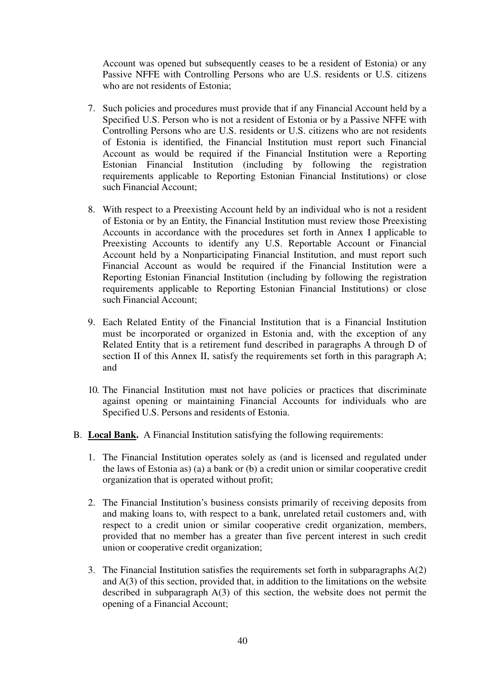Account was opened but subsequently ceases to be a resident of Estonia) or any Passive NFFE with Controlling Persons who are U.S. residents or U.S. citizens who are not residents of Estonia;

- 7. Such policies and procedures must provide that if any Financial Account held by a Specified U.S. Person who is not a resident of Estonia or by a Passive NFFE with Controlling Persons who are U.S. residents or U.S. citizens who are not residents of Estonia is identified, the Financial Institution must report such Financial Account as would be required if the Financial Institution were a Reporting Estonian Financial Institution (including by following the registration requirements applicable to Reporting Estonian Financial Institutions) or close such Financial Account;
- 8. With respect to a Preexisting Account held by an individual who is not a resident of Estonia or by an Entity, the Financial Institution must review those Preexisting Accounts in accordance with the procedures set forth in Annex I applicable to Preexisting Accounts to identify any U.S. Reportable Account or Financial Account held by a Nonparticipating Financial Institution, and must report such Financial Account as would be required if the Financial Institution were a Reporting Estonian Financial Institution (including by following the registration requirements applicable to Reporting Estonian Financial Institutions) or close such Financial Account;
- 9. Each Related Entity of the Financial Institution that is a Financial Institution must be incorporated or organized in Estonia and, with the exception of any Related Entity that is a retirement fund described in paragraphs A through D of section II of this Annex II, satisfy the requirements set forth in this paragraph A; and
- 10. The Financial Institution must not have policies or practices that discriminate against opening or maintaining Financial Accounts for individuals who are Specified U.S. Persons and residents of Estonia.
- B. **Local Bank.** A Financial Institution satisfying the following requirements:
	- 1. The Financial Institution operates solely as (and is licensed and regulated under the laws of Estonia as) (a) a bank or (b) a credit union or similar cooperative credit organization that is operated without profit;
	- 2. The Financial Institution's business consists primarily of receiving deposits from and making loans to, with respect to a bank, unrelated retail customers and, with respect to a credit union or similar cooperative credit organization, members, provided that no member has a greater than five percent interest in such credit union or cooperative credit organization;
	- 3. The Financial Institution satisfies the requirements set forth in subparagraphs A(2) and A(3) of this section, provided that, in addition to the limitations on the website described in subparagraph A(3) of this section, the website does not permit the opening of a Financial Account;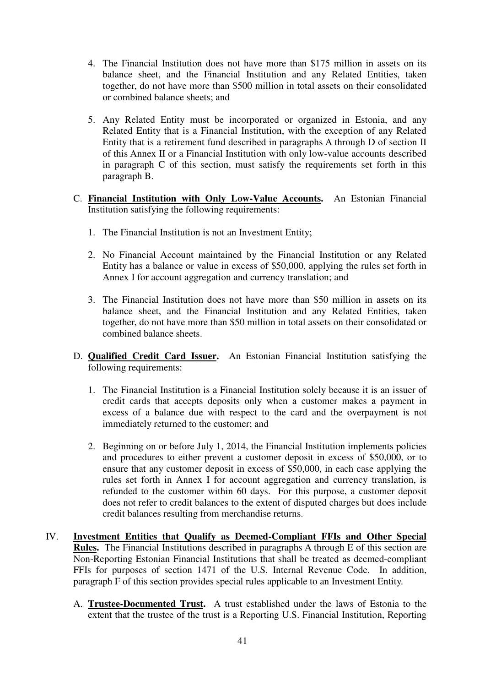- 4. The Financial Institution does not have more than \$175 million in assets on its balance sheet, and the Financial Institution and any Related Entities, taken together, do not have more than \$500 million in total assets on their consolidated or combined balance sheets; and
- 5. Any Related Entity must be incorporated or organized in Estonia, and any Related Entity that is a Financial Institution, with the exception of any Related Entity that is a retirement fund described in paragraphs A through D of section II of this Annex II or a Financial Institution with only low-value accounts described in paragraph C of this section, must satisfy the requirements set forth in this paragraph B.
- C. **Financial Institution with Only Low-Value Accounts.** An Estonian Financial Institution satisfying the following requirements:
	- 1. The Financial Institution is not an Investment Entity;
	- 2. No Financial Account maintained by the Financial Institution or any Related Entity has a balance or value in excess of \$50,000, applying the rules set forth in Annex I for account aggregation and currency translation; and
	- 3. The Financial Institution does not have more than \$50 million in assets on its balance sheet, and the Financial Institution and any Related Entities, taken together, do not have more than \$50 million in total assets on their consolidated or combined balance sheets.
- D. **Qualified Credit Card Issuer.** An Estonian Financial Institution satisfying the following requirements:
	- 1. The Financial Institution is a Financial Institution solely because it is an issuer of credit cards that accepts deposits only when a customer makes a payment in excess of a balance due with respect to the card and the overpayment is not immediately returned to the customer; and
	- 2. Beginning on or before July 1, 2014, the Financial Institution implements policies and procedures to either prevent a customer deposit in excess of \$50,000, or to ensure that any customer deposit in excess of \$50,000, in each case applying the rules set forth in Annex I for account aggregation and currency translation, is refunded to the customer within 60 days. For this purpose, a customer deposit does not refer to credit balances to the extent of disputed charges but does include credit balances resulting from merchandise returns.
- IV. **Investment Entities that Qualify as Deemed-Compliant FFIs and Other Special Rules.** The Financial Institutions described in paragraphs A through E of this section are Non-Reporting Estonian Financial Institutions that shall be treated as deemed-compliant FFIs for purposes of section 1471 of the U.S. Internal Revenue Code. In addition, paragraph F of this section provides special rules applicable to an Investment Entity.
	- A. **Trustee-Documented Trust.** A trust established under the laws of Estonia to the extent that the trustee of the trust is a Reporting U.S. Financial Institution, Reporting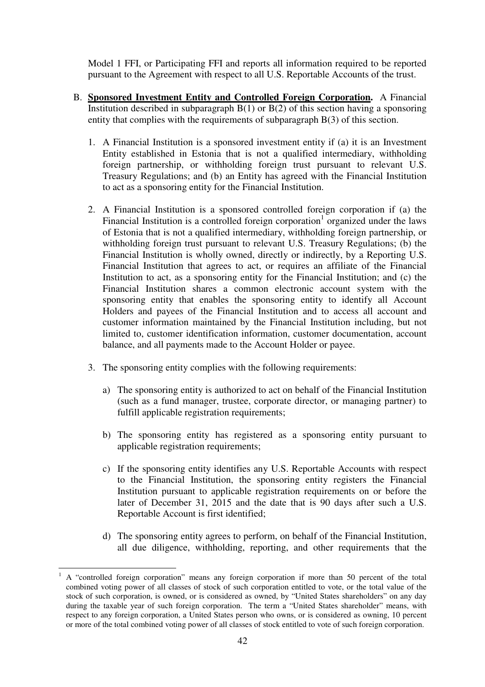Model 1 FFI, or Participating FFI and reports all information required to be reported pursuant to the Agreement with respect to all U.S. Reportable Accounts of the trust.

- B. **Sponsored Investment Entity and Controlled Foreign Corporation.** A Financial Institution described in subparagraph  $B(1)$  or  $B(2)$  of this section having a sponsoring entity that complies with the requirements of subparagraph B(3) of this section.
	- 1. A Financial Institution is a sponsored investment entity if (a) it is an Investment Entity established in Estonia that is not a qualified intermediary, withholding foreign partnership, or withholding foreign trust pursuant to relevant U.S. Treasury Regulations; and (b) an Entity has agreed with the Financial Institution to act as a sponsoring entity for the Financial Institution.
	- 2. A Financial Institution is a sponsored controlled foreign corporation if (a) the Financial Institution is a controlled foreign corporation<sup>1</sup> organized under the laws of Estonia that is not a qualified intermediary, withholding foreign partnership, or withholding foreign trust pursuant to relevant U.S. Treasury Regulations; (b) the Financial Institution is wholly owned, directly or indirectly, by a Reporting U.S. Financial Institution that agrees to act, or requires an affiliate of the Financial Institution to act, as a sponsoring entity for the Financial Institution; and (c) the Financial Institution shares a common electronic account system with the sponsoring entity that enables the sponsoring entity to identify all Account Holders and payees of the Financial Institution and to access all account and customer information maintained by the Financial Institution including, but not limited to, customer identification information, customer documentation, account balance, and all payments made to the Account Holder or payee.
	- 3. The sponsoring entity complies with the following requirements:
		- a) The sponsoring entity is authorized to act on behalf of the Financial Institution (such as a fund manager, trustee, corporate director, or managing partner) to fulfill applicable registration requirements;
		- b) The sponsoring entity has registered as a sponsoring entity pursuant to applicable registration requirements;
		- c) If the sponsoring entity identifies any U.S. Reportable Accounts with respect to the Financial Institution, the sponsoring entity registers the Financial Institution pursuant to applicable registration requirements on or before the later of December 31, 2015 and the date that is 90 days after such a U.S. Reportable Account is first identified;
		- d) The sponsoring entity agrees to perform, on behalf of the Financial Institution, all due diligence, withholding, reporting, and other requirements that the

 $\overline{a}$ 

<sup>1</sup> A "controlled foreign corporation" means any foreign corporation if more than 50 percent of the total combined voting power of all classes of stock of such corporation entitled to vote, or the total value of the stock of such corporation, is owned, or is considered as owned, by "United States shareholders" on any day during the taxable year of such foreign corporation. The term a "United States shareholder" means, with respect to any foreign corporation, a United States person who owns, or is considered as owning, 10 percent or more of the total combined voting power of all classes of stock entitled to vote of such foreign corporation.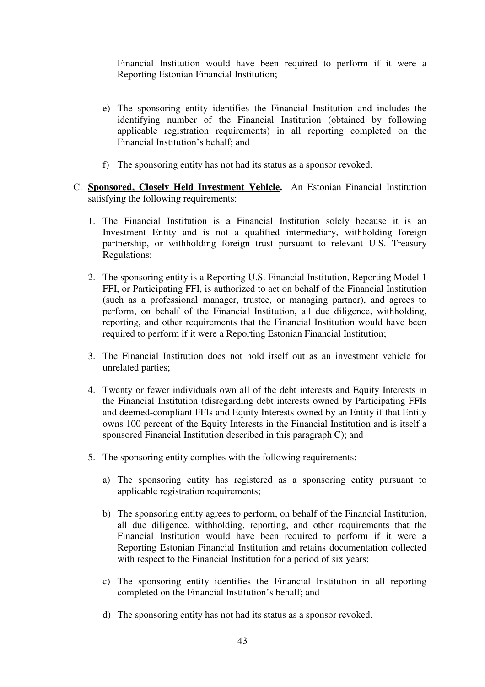Financial Institution would have been required to perform if it were a Reporting Estonian Financial Institution;

- e) The sponsoring entity identifies the Financial Institution and includes the identifying number of the Financial Institution (obtained by following applicable registration requirements) in all reporting completed on the Financial Institution's behalf; and
- f) The sponsoring entity has not had its status as a sponsor revoked.
- C. **Sponsored, Closely Held Investment Vehicle.** An Estonian Financial Institution satisfying the following requirements:
	- 1. The Financial Institution is a Financial Institution solely because it is an Investment Entity and is not a qualified intermediary, withholding foreign partnership, or withholding foreign trust pursuant to relevant U.S. Treasury Regulations;
	- 2. The sponsoring entity is a Reporting U.S. Financial Institution, Reporting Model 1 FFI, or Participating FFI, is authorized to act on behalf of the Financial Institution (such as a professional manager, trustee, or managing partner), and agrees to perform, on behalf of the Financial Institution, all due diligence, withholding, reporting, and other requirements that the Financial Institution would have been required to perform if it were a Reporting Estonian Financial Institution;
	- 3. The Financial Institution does not hold itself out as an investment vehicle for unrelated parties;
	- 4. Twenty or fewer individuals own all of the debt interests and Equity Interests in the Financial Institution (disregarding debt interests owned by Participating FFIs and deemed-compliant FFIs and Equity Interests owned by an Entity if that Entity owns 100 percent of the Equity Interests in the Financial Institution and is itself a sponsored Financial Institution described in this paragraph C); and
	- 5. The sponsoring entity complies with the following requirements:
		- a) The sponsoring entity has registered as a sponsoring entity pursuant to applicable registration requirements;
		- b) The sponsoring entity agrees to perform, on behalf of the Financial Institution, all due diligence, withholding, reporting, and other requirements that the Financial Institution would have been required to perform if it were a Reporting Estonian Financial Institution and retains documentation collected with respect to the Financial Institution for a period of six years;
		- c) The sponsoring entity identifies the Financial Institution in all reporting completed on the Financial Institution's behalf; and
		- d) The sponsoring entity has not had its status as a sponsor revoked.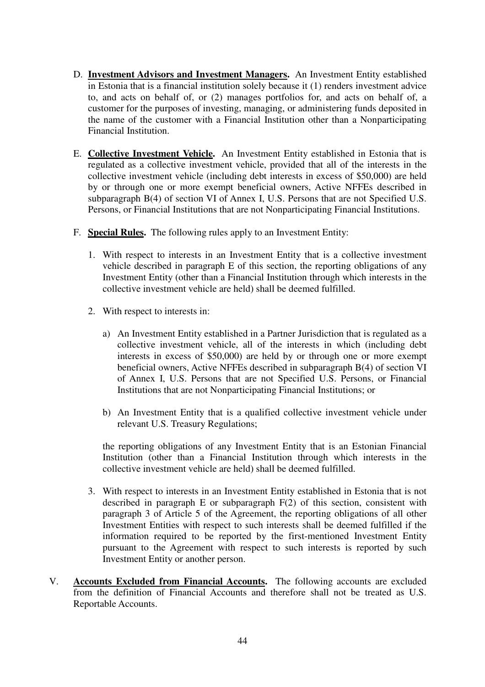- D. **Investment Advisors and Investment Managers.** An Investment Entity established in Estonia that is a financial institution solely because it (1) renders investment advice to, and acts on behalf of, or (2) manages portfolios for, and acts on behalf of, a customer for the purposes of investing, managing, or administering funds deposited in the name of the customer with a Financial Institution other than a Nonparticipating Financial Institution.
- E. **Collective Investment Vehicle.** An Investment Entity established in Estonia that is regulated as a collective investment vehicle, provided that all of the interests in the collective investment vehicle (including debt interests in excess of \$50,000) are held by or through one or more exempt beneficial owners, Active NFFEs described in subparagraph B(4) of section VI of Annex I, U.S. Persons that are not Specified U.S. Persons, or Financial Institutions that are not Nonparticipating Financial Institutions.
- F. **Special Rules.** The following rules apply to an Investment Entity:
	- 1. With respect to interests in an Investment Entity that is a collective investment vehicle described in paragraph E of this section, the reporting obligations of any Investment Entity (other than a Financial Institution through which interests in the collective investment vehicle are held) shall be deemed fulfilled.
	- 2. With respect to interests in:
		- a) An Investment Entity established in a Partner Jurisdiction that is regulated as a collective investment vehicle, all of the interests in which (including debt interests in excess of \$50,000) are held by or through one or more exempt beneficial owners, Active NFFEs described in subparagraph B(4) of section VI of Annex I, U.S. Persons that are not Specified U.S. Persons, or Financial Institutions that are not Nonparticipating Financial Institutions; or
		- b) An Investment Entity that is a qualified collective investment vehicle under relevant U.S. Treasury Regulations;

the reporting obligations of any Investment Entity that is an Estonian Financial Institution (other than a Financial Institution through which interests in the collective investment vehicle are held) shall be deemed fulfilled.

- 3. With respect to interests in an Investment Entity established in Estonia that is not described in paragraph E or subparagraph F(2) of this section, consistent with paragraph 3 of Article 5 of the Agreement, the reporting obligations of all other Investment Entities with respect to such interests shall be deemed fulfilled if the information required to be reported by the first-mentioned Investment Entity pursuant to the Agreement with respect to such interests is reported by such Investment Entity or another person.
- V. **Accounts Excluded from Financial Accounts.** The following accounts are excluded from the definition of Financial Accounts and therefore shall not be treated as U.S. Reportable Accounts.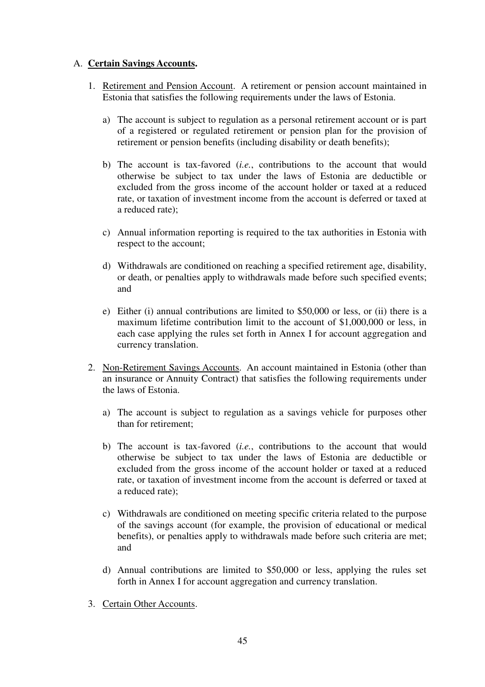## A. **Certain Savings Accounts.**

- 1. Retirement and Pension Account. A retirement or pension account maintained in Estonia that satisfies the following requirements under the laws of Estonia.
	- a) The account is subject to regulation as a personal retirement account or is part of a registered or regulated retirement or pension plan for the provision of retirement or pension benefits (including disability or death benefits);
	- b) The account is tax-favored (*i.e.*, contributions to the account that would otherwise be subject to tax under the laws of Estonia are deductible or excluded from the gross income of the account holder or taxed at a reduced rate, or taxation of investment income from the account is deferred or taxed at a reduced rate);
	- c) Annual information reporting is required to the tax authorities in Estonia with respect to the account;
	- d) Withdrawals are conditioned on reaching a specified retirement age, disability, or death, or penalties apply to withdrawals made before such specified events; and
	- e) Either (i) annual contributions are limited to \$50,000 or less, or (ii) there is a maximum lifetime contribution limit to the account of \$1,000,000 or less, in each case applying the rules set forth in Annex I for account aggregation and currency translation.
- 2. Non-Retirement Savings Accounts. An account maintained in Estonia (other than an insurance or Annuity Contract) that satisfies the following requirements under the laws of Estonia.
	- a) The account is subject to regulation as a savings vehicle for purposes other than for retirement;
	- b) The account is tax-favored (*i.e.*, contributions to the account that would otherwise be subject to tax under the laws of Estonia are deductible or excluded from the gross income of the account holder or taxed at a reduced rate, or taxation of investment income from the account is deferred or taxed at a reduced rate);
	- c) Withdrawals are conditioned on meeting specific criteria related to the purpose of the savings account (for example, the provision of educational or medical benefits), or penalties apply to withdrawals made before such criteria are met; and
	- d) Annual contributions are limited to \$50,000 or less, applying the rules set forth in Annex I for account aggregation and currency translation.
- 3. Certain Other Accounts.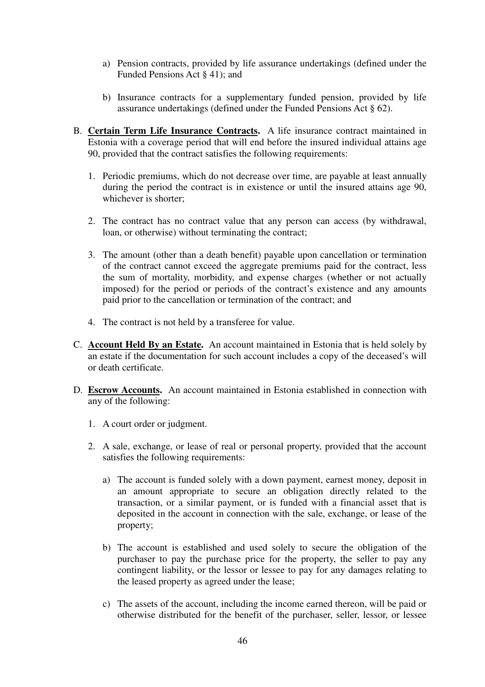- a) Pension contracts, provided by life assurance undertakings (defined under the Funded Pensions Act § 41); and
- b) Insurance contracts for a supplementary funded pension, provided by life assurance undertakings (defined under the Funded Pensions Act § 62).
- B. **Certain Term Life Insurance Contracts.** A life insurance contract maintained in Estonia with a coverage period that will end before the insured individual attains age 90, provided that the contract satisfies the following requirements:
	- 1. Periodic premiums, which do not decrease over time, are payable at least annually during the period the contract is in existence or until the insured attains age 90, whichever is shorter;
	- 2. The contract has no contract value that any person can access (by withdrawal, loan, or otherwise) without terminating the contract;
	- 3. The amount (other than a death benefit) payable upon cancellation or termination of the contract cannot exceed the aggregate premiums paid for the contract, less the sum of mortality, morbidity, and expense charges (whether or not actually imposed) for the period or periods of the contract's existence and any amounts paid prior to the cancellation or termination of the contract; and
	- 4. The contract is not held by a transferee for value.
- C. **Account Held By an Estate.** An account maintained in Estonia that is held solely by an estate if the documentation for such account includes a copy of the deceased's will or death certificate.
- D. **Escrow Accounts.** An account maintained in Estonia established in connection with any of the following:
	- 1. A court order or judgment.
	- 2. A sale, exchange, or lease of real or personal property, provided that the account satisfies the following requirements:
		- a) The account is funded solely with a down payment, earnest money, deposit in an amount appropriate to secure an obligation directly related to the transaction, or a similar payment, or is funded with a financial asset that is deposited in the account in connection with the sale, exchange, or lease of the property;
		- b) The account is established and used solely to secure the obligation of the purchaser to pay the purchase price for the property, the seller to pay any contingent liability, or the lessor or lessee to pay for any damages relating to the leased property as agreed under the lease;
		- c) The assets of the account, including the income earned thereon, will be paid or otherwise distributed for the benefit of the purchaser, seller, lessor, or lessee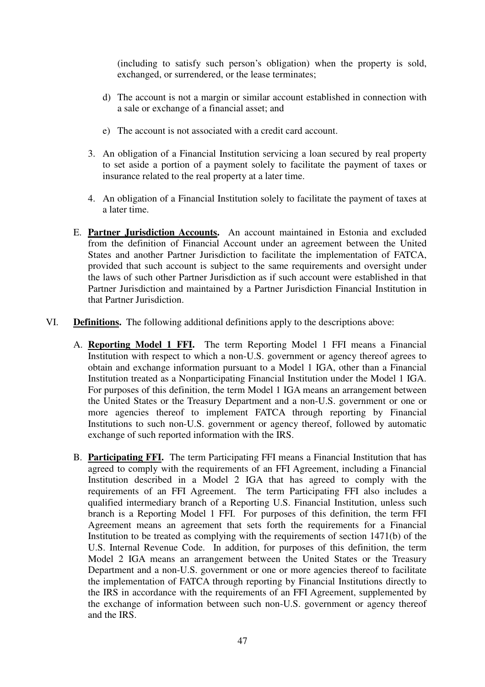(including to satisfy such person's obligation) when the property is sold, exchanged, or surrendered, or the lease terminates;

- d) The account is not a margin or similar account established in connection with a sale or exchange of a financial asset; and
- e) The account is not associated with a credit card account.
- 3. An obligation of a Financial Institution servicing a loan secured by real property to set aside a portion of a payment solely to facilitate the payment of taxes or insurance related to the real property at a later time.
- 4. An obligation of a Financial Institution solely to facilitate the payment of taxes at a later time.
- E. **Partner Jurisdiction Accounts.** An account maintained in Estonia and excluded from the definition of Financial Account under an agreement between the United States and another Partner Jurisdiction to facilitate the implementation of FATCA, provided that such account is subject to the same requirements and oversight under the laws of such other Partner Jurisdiction as if such account were established in that Partner Jurisdiction and maintained by a Partner Jurisdiction Financial Institution in that Partner Jurisdiction.
- VI. **Definitions.** The following additional definitions apply to the descriptions above:
	- A. **Reporting Model 1 FFI.** The term Reporting Model 1 FFI means a Financial Institution with respect to which a non-U.S. government or agency thereof agrees to obtain and exchange information pursuant to a Model 1 IGA, other than a Financial Institution treated as a Nonparticipating Financial Institution under the Model 1 IGA. For purposes of this definition, the term Model 1 IGA means an arrangement between the United States or the Treasury Department and a non-U.S. government or one or more agencies thereof to implement FATCA through reporting by Financial Institutions to such non-U.S. government or agency thereof, followed by automatic exchange of such reported information with the IRS.
	- B. **Participating FFI.** The term Participating FFI means a Financial Institution that has agreed to comply with the requirements of an FFI Agreement, including a Financial Institution described in a Model 2 IGA that has agreed to comply with the requirements of an FFI Agreement. The term Participating FFI also includes a qualified intermediary branch of a Reporting U.S. Financial Institution, unless such branch is a Reporting Model 1 FFI. For purposes of this definition, the term FFI Agreement means an agreement that sets forth the requirements for a Financial Institution to be treated as complying with the requirements of section 1471(b) of the U.S. Internal Revenue Code. In addition, for purposes of this definition, the term Model 2 IGA means an arrangement between the United States or the Treasury Department and a non-U.S. government or one or more agencies thereof to facilitate the implementation of FATCA through reporting by Financial Institutions directly to the IRS in accordance with the requirements of an FFI Agreement, supplemented by the exchange of information between such non-U.S. government or agency thereof and the IRS.